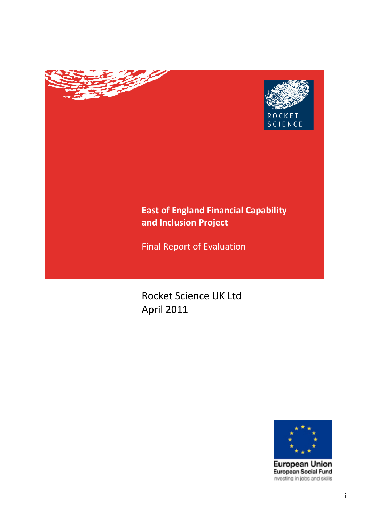

# **East of England Financial Capability and Inclusion Project**

Final Report of Evaluation

**Contract Contract Contract Contract Contract Contract Contract Contract Contract Contract Contract Contract C** 

Rocket Science UK Ltd April 2011



**European Union** European Social Fund Investing in jobs and skills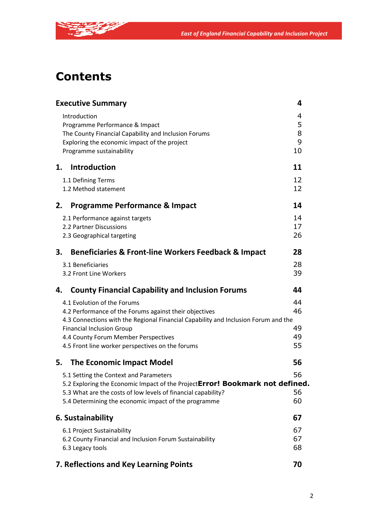

**CONTRACTOR** 

|    | <b>Executive Summary</b>                                                                                                                                                                                                                                                                                    | 4                          |
|----|-------------------------------------------------------------------------------------------------------------------------------------------------------------------------------------------------------------------------------------------------------------------------------------------------------------|----------------------------|
|    | Introduction<br>Programme Performance & Impact<br>The County Financial Capability and Inclusion Forums<br>Exploring the economic impact of the project<br>Programme sustainability                                                                                                                          | 4<br>5<br>8<br>9<br>10     |
| 1. | Introduction                                                                                                                                                                                                                                                                                                | 11                         |
|    | 1.1 Defining Terms<br>1.2 Method statement                                                                                                                                                                                                                                                                  | 12<br>12                   |
| 2. | <b>Programme Performance &amp; Impact</b>                                                                                                                                                                                                                                                                   | 14                         |
|    | 2.1 Performance against targets<br>2.2 Partner Discussions<br>2.3 Geographical targeting                                                                                                                                                                                                                    | 14<br>17<br>26             |
| 3. | Beneficiaries & Front-line Workers Feedback & Impact                                                                                                                                                                                                                                                        | 28                         |
|    | 3.1 Beneficiaries<br>3.2 Front Line Workers                                                                                                                                                                                                                                                                 | 28<br>39                   |
|    |                                                                                                                                                                                                                                                                                                             |                            |
| 4. | <b>County Financial Capability and Inclusion Forums</b>                                                                                                                                                                                                                                                     | 44                         |
|    | 4.1 Evolution of the Forums<br>4.2 Performance of the Forums against their objectives<br>4.3 Connections with the Regional Financial Capability and Inclusion Forum and the<br><b>Financial Inclusion Group</b><br>4.4 County Forum Member Perspectives<br>4.5 Front line worker perspectives on the forums | 44<br>46<br>49<br>49<br>55 |
| 5. | <b>The Economic Impact Model</b>                                                                                                                                                                                                                                                                            | 56                         |
|    | 5.1 Setting the Context and Parameters<br>5.2 Exploring the Economic Impact of the ProjectError! Bookmark not defined.<br>5.3 What are the costs of low levels of financial capability?<br>5.4 Determining the economic impact of the programme                                                             | 56<br>56<br>60             |
|    | 6. Sustainability                                                                                                                                                                                                                                                                                           | 67                         |
|    | 6.1 Project Sustainability<br>6.2 County Financial and Inclusion Forum Sustainability<br>6.3 Legacy tools                                                                                                                                                                                                   | 67<br>67<br>68             |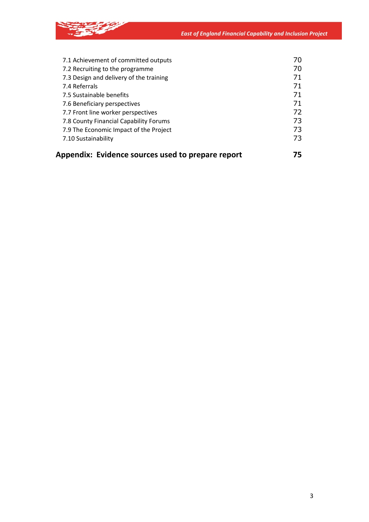*East of England Financial Capability and Inclusion Project*



|  | Appendix: Evidence sources used to prepare report | 75 |
|--|---------------------------------------------------|----|
|--|---------------------------------------------------|----|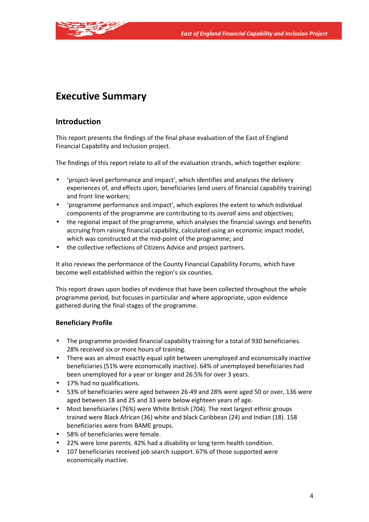

# **Executive Summary**

# **Introduction**

This report presents the findings of the final phase evaluation of the East of England Financial Capability and Inclusion project.

The findings of this report relate to all of the evaluation strands, which together explore:

- 'project-level performance and impact', which identifies and analyses the delivery experiences of, and effects upon, beneficiaries (end users of financial capability training) and front line workers;
- 'programme performance and impact', which explores the extent to which individual components of the programme are contributing to its *overall* aims and objectives;
- the regional impact of the programme, which analyses the financial savings and benefits accruing from raising financial capability, calculated using an economic impact model, which was constructed at the mid-point of the programme; and
- the collective reflections of Citizens Advice and project partners.

It also reviews the performance of the County Financial Capability Forums, which have become well established within the region's six counties.

This report draws upon bodies of evidence that have been collected throughout the whole programme period, but focuses in particular and where appropriate, upon evidence gathered during the final stages of the programme.

# **Beneficiary Profile**

- The programme provided financial capability training for a total of 930 beneficiaries. 28% received six or more hours of training.
- There was an almost exactly equal split between unemployed and economically inactive beneficiaries (51% were economically inactive). 64% of unemployed beneficiaries had been unemployed for a year or longer and 26.5% for over 3 years.
- 17% had no qualifications.
- 53% of beneficiaries were aged between 26-49 and 28% were aged 50 or over, 136 were aged between 18 and 25 and 33 were below eighteen years of age.
- Most beneficiaries (76%) were White British (704). The next largest ethnic groups trained were Black African (36) white and black Caribbean (24) and Indian (18). 158 beneficiaries were from BAME groups.
- 58% of beneficiaries were female.
- 22% were lone parents. 42% had a disability or long term health condition.
- 107 beneficiaries received job search support. 67% of those supported were economically inactive.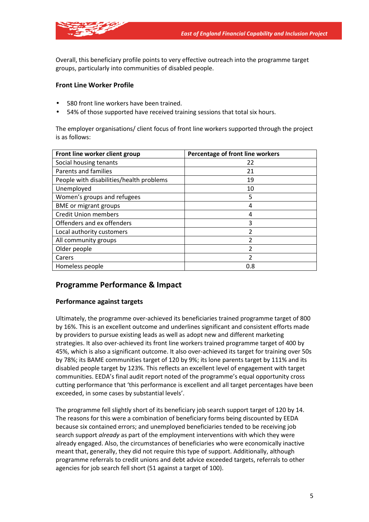

Overall, this beneficiary profile points to very effective outreach into the programme target groups, particularly into communities of disabled people.

## **Front Line Worker Profile**

- 580 front line workers have been trained.
- 54% of those supported have received training sessions that total six hours.

The employer organisations/ client focus of front line workers supported through the project is as follows:

| Front line worker client group           | Percentage of front line workers |  |
|------------------------------------------|----------------------------------|--|
| Social housing tenants                   | 22                               |  |
| Parents and families                     | 21                               |  |
| People with disabilities/health problems | 19                               |  |
| Unemployed                               | 10                               |  |
| Women's groups and refugees              | 5                                |  |
| <b>BME</b> or migrant groups             | 4                                |  |
| <b>Credit Union members</b>              | 4                                |  |
| Offenders and ex offenders               | 3                                |  |
| Local authority customers                | 2                                |  |
| All community groups                     |                                  |  |
| Older people                             | 2                                |  |
| Carers                                   | 2                                |  |
| Homeless people                          | 0.8                              |  |

# **Programme Performance & Impact**

## **Performance against targets**

Ultimately, the programme over-achieved its beneficiaries trained programme target of 800 by 16%. This is an excellent outcome and underlines significant and consistent efforts made by providers to pursue existing leads as well as adopt new and different marketing strategies. It also over-achieved its front line workers trained programme target of 400 by 45%, which is also a significant outcome. It also over-achieved its target for training over 50s by 78%; its BAME communities target of 120 by 9%; its lone parents target by 111% and its disabled people target by 123%. This reflects an excellent level of engagement with target communities. EEDA's final audit report noted of the programme's equal opportunity cross cutting performance that 'this performance is excellent and all target percentages have been exceeded, in some cases by substantial levels'.

The programme fell slightly short of its beneficiary job search support target of 120 by 14. The reasons for this were a combination of beneficiary forms being discounted by EEDA because six contained errors; and unemployed beneficiaries tended to be receiving job search support *already* as part of the employment interventions with which they were already engaged. Also, the circumstances of beneficiaries who were economically inactive meant that, generally, they did not require this type of support. Additionally, although programme referrals to credit unions and debt advice exceeded targets, referrals to other agencies for job search fell short (51 against a target of 100).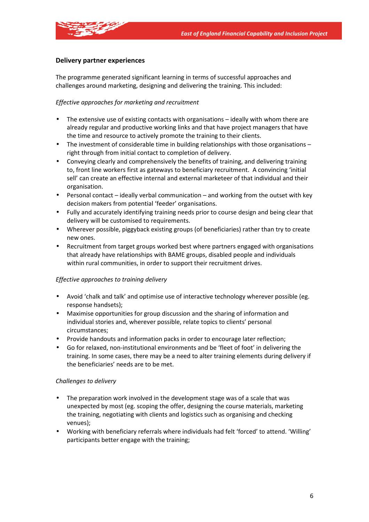

## **Delivery partner experiences**

The programme generated significant learning in terms of successful approaches and challenges around marketing, designing and delivering the training. This included:

#### *Effective approaches for marketing and recruitment*

- The extensive use of existing contacts with organisations ideally with whom there are already regular and productive working links and that have project managers that have the time and resource to actively promote the training to their clients.
- The investment of considerable time in building relationships with those organisations right through from initial contact to completion of delivery.
- Conveying clearly and comprehensively the benefits of training, and delivering training to, front line workers first as gateways to beneficiary recruitment. A convincing 'initial sell' can create an effective internal and external marketeer of that individual and their organisation.
- Personal contact ideally verbal communication and working from the outset with key decision makers from potential 'feeder' organisations.
- Fully and accurately identifying training needs prior to course design and being clear that delivery will be customised to requirements.
- Wherever possible, piggyback existing groups (of beneficiaries) rather than try to create new ones.
- Recruitment from target groups worked best where partners engaged with organisations that already have relationships with BAME groups, disabled people and individuals within rural communities, in order to support their recruitment drives.

#### *Effective approaches to training delivery*

- Avoid 'chalk and talk' and optimise use of interactive technology wherever possible (eg. response handsets);
- Maximise opportunities for group discussion and the sharing of information and individual stories and, wherever possible, relate topics to clients' personal circumstances;
- Provide handouts and information packs in order to encourage later reflection;
- Go for relaxed, non-institutional environments and be 'fleet of foot' in delivering the training. In some cases, there may be a need to alter training elements during delivery if the beneficiaries' needs are to be met.

#### *Challenges to delivery*

- The preparation work involved in the development stage was of a scale that was unexpected by most (eg. scoping the offer, designing the course materials, marketing the training, negotiating with clients and logistics such as organising and checking venues);
- Working with beneficiary referrals where individuals had felt 'forced' to attend. 'Willing' participants better engage with the training;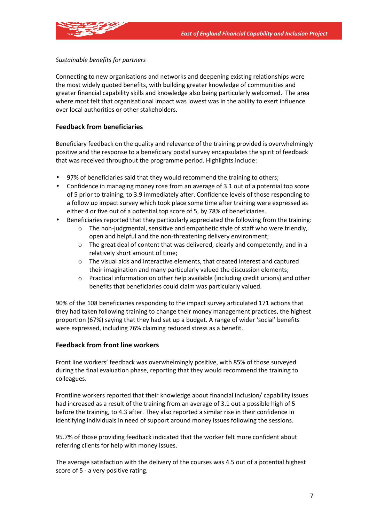

## *Sustainable benefits for partners*

Connecting to new organisations and networks and deepening existing relationships were the most widely quoted benefits, with building greater knowledge of communities and greater financial capability skills and knowledge also being particularly welcomed. The area where most felt that organisational impact was lowest was in the ability to exert influence over local authorities or other stakeholders.

## **Feedback from beneficiaries**

Beneficiary feedback on the quality and relevance of the training provided is overwhelmingly positive and the response to a beneficiary postal survey encapsulates the spirit of feedback that was received throughout the programme period. Highlights include:

- 97% of beneficiaries said that they would recommend the training to others;
- Confidence in managing money rose from an average of 3.1 out of a potential top score of 5 prior to training, to 3.9 immediately after. Confidence levels of those responding to a follow up impact survey which took place some time after training were expressed as either 4 or five out of a potential top score of 5, by 78% of beneficiaries.
- Beneficiaries reported that they particularly appreciated the following from the training:
	- The non-judgmental, sensitive and empathetic style of staff who were friendly, open and helpful and the non-threatening delivery environment;
	- $\circ$  The great deal of content that was delivered, clearly and competently, and in a relatively short amount of time;
	- o The visual aids and interactive elements, that created interest and captured their imagination and many particularly valued the discussion elements;
	- $\circ$  Practical information on other help available (including credit unions) and other benefits that beneficiaries could claim was particularly valued.

90% of the 108 beneficiaries responding to the impact survey articulated 171 actions that they had taken following training to change their money management practices, the highest proportion (67%) saying that they had set up a budget. A range of wider 'social' benefits were expressed, including 76% claiming reduced stress as a benefit.

## **Feedback from front line workers**

Front line workers' feedback was overwhelmingly positive, with 85% of those surveyed during the final evaluation phase, reporting that they would recommend the training to colleagues.

Frontline workers reported that their knowledge about financial inclusion/ capability issues had increased as a result of the training from an average of 3.1 out a possible high of 5 before the training, to 4.3 after. They also reported a similar rise in their confidence in identifying individuals in need of support around money issues following the sessions.

95.7% of those providing feedback indicated that the worker felt more confident about referring clients for help with money issues.

The average satisfaction with the delivery of the courses was 4.5 out of a potential highest score of 5 - a very positive rating.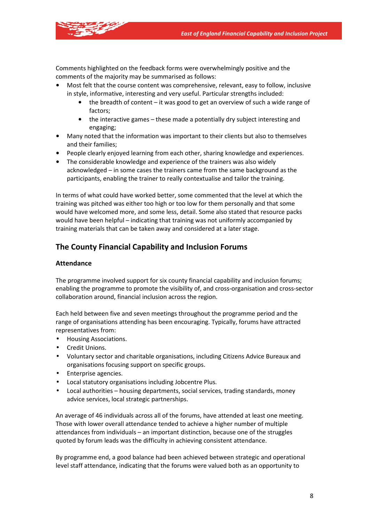Comments highlighted on the feedback forms were overwhelmingly positive and the comments of the majority may be summarised as follows:

- Most felt that the course content was comprehensive, relevant, easy to follow, inclusive in style, informative, interesting and very useful. Particular strengths included:
	- the breadth of content it was good to get an overview of such a wide range of factors;
	- the interactive games these made a potentially dry subject interesting and engaging;
- Many noted that the information was important to their clients but also to themselves and their families;
- People clearly enjoyed learning from each other, sharing knowledge and experiences.
- The considerable knowledge and experience of the trainers was also widely acknowledged – in some cases the trainers came from the same background as the participants, enabling the trainer to really contextualise and tailor the training.

In terms of what could have worked better, some commented that the level at which the training was pitched was either too high or too low for them personally and that some would have welcomed more, and some less, detail. Some also stated that resource packs would have been helpful – indicating that training was not uniformly accompanied by training materials that can be taken away and considered at a later stage.

# **The County Financial Capability and Inclusion Forums**

## **Attendance**

The programme involved support for six county financial capability and inclusion forums; enabling the programme to promote the visibility of, and cross-organisation and cross-sector collaboration around, financial inclusion across the region.

Each held between five and seven meetings throughout the programme period and the range of organisations attending has been encouraging. Typically, forums have attracted representatives from:

- Housing Associations.
- Credit Unions.
- Voluntary sector and charitable organisations, including Citizens Advice Bureaux and organisations focusing support on specific groups.
- Enterprise agencies.
- Local statutory organisations including Jobcentre Plus.
- Local authorities housing departments, social services, trading standards, money advice services, local strategic partnerships.

An average of 46 individuals across all of the forums, have attended at least one meeting. Those with lower overall attendance tended to achieve a higher number of multiple attendances from individuals – an important distinction, because one of the struggles quoted by forum leads was the difficulty in achieving consistent attendance.

By programme end, a good balance had been achieved between strategic and operational level staff attendance, indicating that the forums were valued both as an opportunity to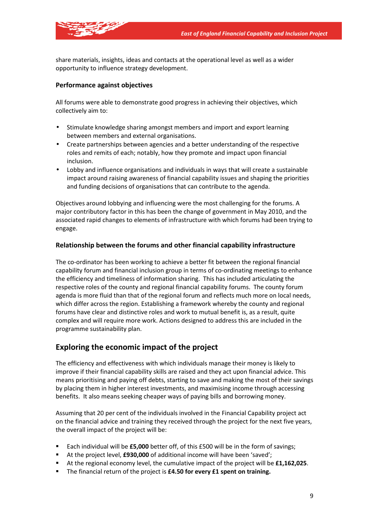

share materials, insights, ideas and contacts at the operational level as well as a wider opportunity to influence strategy development.

### **Performance against objectives**

All forums were able to demonstrate good progress in achieving their objectives, which collectively aim to:

- Stimulate knowledge sharing amongst members and import and export learning between members and external organisations.
- Create partnerships between agencies and a better understanding of the respective roles and remits of each; notably, how they promote and impact upon financial inclusion.
- Lobby and influence organisations and individuals in ways that will create a sustainable impact around raising awareness of financial capability issues and shaping the priorities and funding decisions of organisations that can contribute to the agenda.

Objectives around lobbying and influencing were the most challenging for the forums. A major contributory factor in this has been the change of government in May 2010, and the associated rapid changes to elements of infrastructure with which forums had been trying to engage.

#### **Relationship between the forums and other financial capability infrastructure**

The co-ordinator has been working to achieve a better fit between the regional financial capability forum and financial inclusion group in terms of co-ordinating meetings to enhance the efficiency and timeliness of information sharing. This has included articulating the respective roles of the county and regional financial capability forums. The county forum agenda is more fluid than that of the regional forum and reflects much more on local needs, which differ across the region. Establishing a framework whereby the county and regional forums have clear and distinctive roles and work to mutual benefit is, as a result, quite complex and will require more work. Actions designed to address this are included in the programme sustainability plan.

# **Exploring the economic impact of the project**

The efficiency and effectiveness with which individuals manage their money is likely to improve if their financial capability skills are raised and they act upon financial advice. This means prioritising and paying off debts, starting to save and making the most of their savings by placing them in higher interest investments, and maximising income through accessing benefits. It also means seeking cheaper ways of paying bills and borrowing money.

Assuming that 20 per cent of the individuals involved in the Financial Capability project act on the financial advice and training they received through the project for the next five years, the overall impact of the project will be:

- Each individual will be **£5,000** better off, of this £500 will be in the form of savings;
- At the project level, **£930,000** of additional income will have been 'saved';
- At the regional economy level, the cumulative impact of the project will be **£1,162,025**.
- The financial return of the project is **£4.50 for every £1 spent on training.**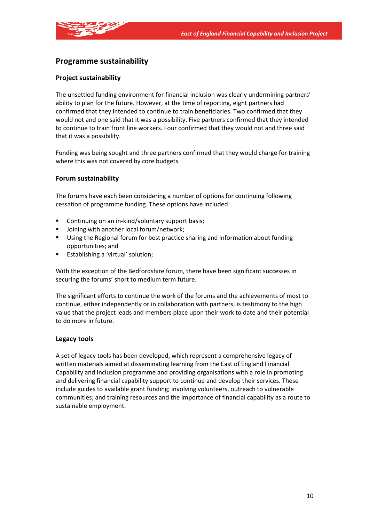

# **Programme sustainability**

## **Project sustainability**

The unsettled funding environment for financial inclusion was clearly undermining partners' ability to plan for the future. However, at the time of reporting, eight partners had confirmed that they intended to continue to train beneficiaries. Two confirmed that they would not and one said that it was a possibility. Five partners confirmed that they intended to continue to train front line workers. Four confirmed that they would not and three said that it was a possibility.

Funding was being sought and three partners confirmed that they would charge for training where this was not covered by core budgets.

#### **Forum sustainability**

The forums have each been considering a number of options for continuing following cessation of programme funding. These options have included:

- **EXECONTIFY CONTINUING ON An in-kind/voluntary support basis:**
- Joining with another local forum/network;
- Using the Regional forum for best practice sharing and information about funding opportunities; and
- **Example 1** Establishing a 'virtual' solution;

With the exception of the Bedfordshire forum, there have been significant successes in securing the forums' short to medium term future.

The significant efforts to continue the work of the forums and the achievements of most to continue, either independently or in collaboration with partners, is testimony to the high value that the project leads and members place upon their work to date and their potential to do more in future.

#### **Legacy tools**

A set of legacy tools has been developed, which represent a comprehensive legacy of written materials aimed at disseminating learning from the East of England Financial Capability and Inclusion programme and providing organisations with a role in promoting and delivering financial capability support to continue and develop their services. These include guides to available grant funding; involving volunteers, outreach to vulnerable communities; and training resources and the importance of financial capability as a route to sustainable employment.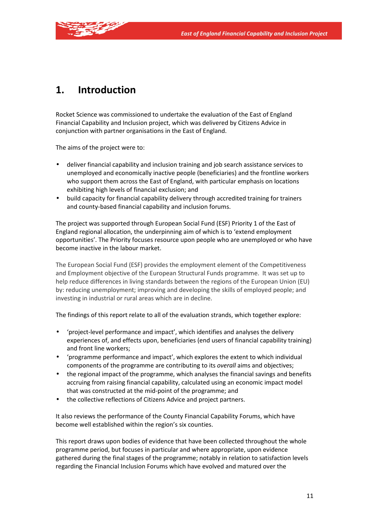

# **1. Introduction**

Rocket Science was commissioned to undertake the evaluation of the East of England Financial Capability and Inclusion project, which was delivered by Citizens Advice in conjunction with partner organisations in the East of England.

The aims of the project were to:

- deliver financial capability and inclusion training and job search assistance services to unemployed and economically inactive people (beneficiaries) and the frontline workers who support them across the East of England, with particular emphasis on locations exhibiting high levels of financial exclusion; and
- build capacity for financial capability delivery through accredited training for trainers and county-based financial capability and inclusion forums.

The project was supported through European Social Fund (ESF) Priority 1 of the East of England regional allocation, the underpinning aim of which is to 'extend employment opportunities'. The Priority focuses resource upon people who are unemployed or who have become inactive in the labour market.

The European Social Fund (ESF) provides the employment element of the Competitiveness and Employment objective of the European Structural Funds programme. It was set up to help reduce differences in living standards between the regions of the European Union (EU) by: reducing unemployment; improving and developing the skills of employed people; and investing in industrial or rural areas which are in decline.

The findings of this report relate to all of the evaluation strands, which together explore:

- 'project-level performance and impact', which identifies and analyses the delivery experiences of, and effects upon, beneficiaries (end users of financial capability training) and front line workers;
- 'programme performance and impact', which explores the extent to which individual components of the programme are contributing to its *overall* aims and objectives;
- the regional impact of the programme, which analyses the financial savings and benefits accruing from raising financial capability, calculated using an economic impact model that was constructed at the mid-point of the programme; and
- the collective reflections of Citizens Advice and project partners.

It also reviews the performance of the County Financial Capability Forums, which have become well established within the region's six counties.

This report draws upon bodies of evidence that have been collected throughout the whole programme period, but focuses in particular and where appropriate, upon evidence gathered during the final stages of the programme; notably in relation to satisfaction levels regarding the Financial Inclusion Forums which have evolved and matured over the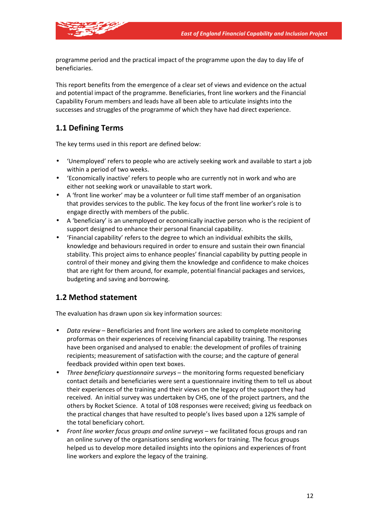

programme period and the practical impact of the programme upon the day to day life of beneficiaries.

This report benefits from the emergence of a clear set of views and evidence on the actual and potential impact of the programme. Beneficiaries, front line workers and the Financial Capability Forum members and leads have all been able to articulate insights into the successes and struggles of the programme of which they have had direct experience.

# **1.1 Defining Terms**

The key terms used in this report are defined below:

- 'Unemployed' refers to people who are actively seeking work and available to start a job within a period of two weeks.
- 'Economically inactive' refers to people who are currently not in work and who are either not seeking work or unavailable to start work.
- A 'front line worker' may be a volunteer or full time staff member of an organisation that provides services to the public. The key focus of the front line worker's role is to engage directly with members of the public.
- A 'beneficiary' is an unemployed or economically inactive person who is the recipient of support designed to enhance their personal financial capability.
- 'Financial capability' refers to the degree to which an individual exhibits the skills, knowledge and behaviours required in order to ensure and sustain their own financial stability. This project aims to enhance peoples' financial capability by putting people in control of their money and giving them the knowledge and confidence to make choices that are right for them around, for example, potential financial packages and services, budgeting and saving and borrowing.

# **1.2 Method statement**

The evaluation has drawn upon six key information sources:

- *Data review* Beneficiaries and front line workers are asked to complete monitoring proformas on their experiences of receiving financial capability training. The responses have been organised and analysed to enable: the development of profiles of training recipients; measurement of satisfaction with the course; and the capture of general feedback provided within open text boxes.
- *Three beneficiary questionnaire surveys* the monitoring forms requested beneficiary contact details and beneficiaries were sent a questionnaire inviting them to tell us about their experiences of the training and their views on the legacy of the support they had received. An initial survey was undertaken by CHS, one of the project partners, and the others by Rocket Science. A total of 108 responses were received; giving us feedback on the practical changes that have resulted to people's lives based upon a 12% sample of the total beneficiary cohort.
- *Front line worker focus groups and online surveys* we facilitated focus groups and ran an online survey of the organisations sending workers for training. The focus groups helped us to develop more detailed insights into the opinions and experiences of front line workers and explore the legacy of the training.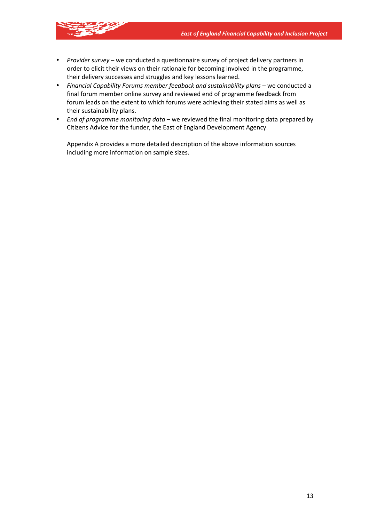- 
- *Provider survey*  we conducted a questionnaire survey of project delivery partners in order to elicit their views on their rationale for becoming involved in the programme, their delivery successes and struggles and key lessons learned.
- Financial Capability Forums member feedback and sustainability plans we conducted a final forum member online survey and reviewed end of programme feedback from forum leads on the extent to which forums were achieving their stated aims as well as their sustainability plans.
- *End of programme monitoring data* we reviewed the final monitoring data prepared by Citizens Advice for the funder, the East of England Development Agency.

Appendix A provides a more detailed description of the above information sources including more information on sample sizes.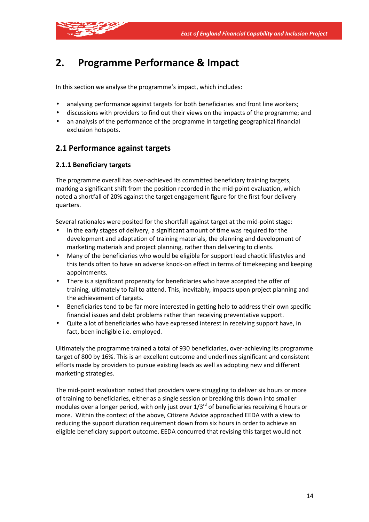

# **2. Programme Performance & Impact**

In this section we analyse the programme's impact, which includes:

- analysing performance against targets for both beneficiaries and front line workers;
- discussions with providers to find out their views on the impacts of the programme; and
- an analysis of the performance of the programme in targeting geographical financial exclusion hotspots.

# **2.1 Performance against targets**

## **2.1.1 Beneficiary targets**

The programme overall has over-achieved its committed beneficiary training targets, marking a significant shift from the position recorded in the mid-point evaluation, which noted a shortfall of 20% against the target engagement figure for the first four delivery quarters.

Several rationales were posited for the shortfall against target at the mid-point stage:

- In the early stages of delivery, a significant amount of time was required for the development and adaptation of training materials, the planning and development of marketing materials and project planning, rather than delivering to clients.
- Many of the beneficiaries who would be eligible for support lead chaotic lifestyles and this tends often to have an adverse knock-on effect in terms of timekeeping and keeping appointments.
- There is a significant propensity for beneficiaries who have accepted the offer of training, ultimately to fail to attend. This, inevitably, impacts upon project planning and the achievement of targets.
- Beneficiaries tend to be far more interested in getting help to address their own specific financial issues and debt problems rather than receiving preventative support.
- Quite a lot of beneficiaries who have expressed interest in receiving support have, in fact, been ineligible i.e. employed.

Ultimately the programme trained a total of 930 beneficiaries, over-achieving its programme target of 800 by 16%. This is an excellent outcome and underlines significant and consistent efforts made by providers to pursue existing leads as well as adopting new and different marketing strategies.

The mid-point evaluation noted that providers were struggling to deliver six hours or more of training to beneficiaries, either as a single session or breaking this down into smaller modules over a longer period, with only just over  $1/3^{rd}$  of beneficiaries receiving 6 hours or more. Within the context of the above, Citizens Advice approached EEDA with a view to reducing the support duration requirement down from six hours in order to achieve an eligible beneficiary support outcome. EEDA concurred that revising this target would not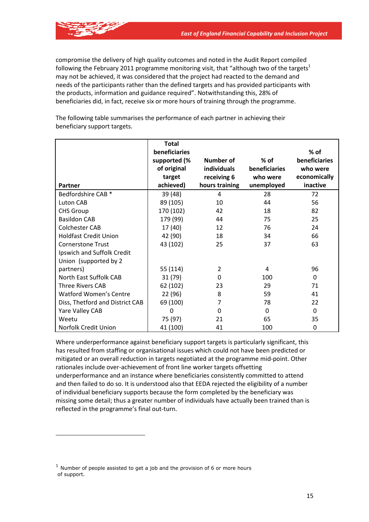compromise the delivery of high quality outcomes and noted in the Audit Report compiled following the February 2011 programme monitoring visit, that "although two of the targets $1$ may not be achieved, it was considered that the project had reacted to the demand and needs of the participants rather than the defined targets and has provided participants with the products, information and guidance required". Notwithstanding this, 28% of beneficiaries did, in fact, receive six or more hours of training through the programme.

The following table summarises the performance of each partner in achieving their beneficiary support targets.

|                                 | Total         |                    |               |               |
|---------------------------------|---------------|--------------------|---------------|---------------|
|                                 | beneficiaries |                    |               | $%$ of        |
|                                 | supported (%  | <b>Number of</b>   | $%$ of        | beneficiaries |
|                                 | of original   | <b>individuals</b> | beneficiaries | who were      |
|                                 | target        | receiving 6        | who were      | economically  |
| Partner                         | achieved)     | hours training     | unemployed    | inactive      |
| Bedfordshire CAB <sup>*</sup>   | 39 (48)       | 4                  | 28            | 72            |
| Luton CAB                       | 89 (105)      | 10                 | 44            | 56            |
| <b>CHS Group</b>                | 170 (102)     | 42                 | 18            | 82            |
| <b>Basildon CAB</b>             | 179 (99)      | 44                 | 75            | 25            |
| <b>Colchester CAB</b>           | 17 (40)       | 12                 | 76            | 24            |
| <b>Holdfast Credit Union</b>    | 42 (90)       | 18                 | 34            | 66            |
| <b>Cornerstone Trust</b>        | 43 (102)      | 25                 | 37            | 63            |
| Ipswich and Suffolk Credit      |               |                    |               |               |
| Union (supported by 2           |               |                    |               |               |
| partners)                       | 55 (114)      | $\overline{2}$     | 4             | 96            |
| North East Suffolk CAB          | 31 (79)       | 0                  | 100           | $\Omega$      |
| <b>Three Rivers CAB</b>         | 62 (102)      | 23                 | 29            | 71            |
| <b>Watford Women's Centre</b>   | 22 (96)       | 8                  | 59            | 41            |
| Diss, Thetford and District CAB | 69 (100)      | 7                  | 78            | 22            |
| Yare Valley CAB                 | $\Omega$      | 0                  | $\Omega$      | $\Omega$      |
| Weetu                           | 75 (97)       | 21                 | 65            | 35            |
| Norfolk Credit Union            | 41 (100)      | 41                 | 100           | 0             |

Where underperformance against beneficiary support targets is particularly significant, this has resulted from staffing or organisational issues which could not have been predicted or mitigated or an overall reduction in targets negotiated at the programme mid-point. Other rationales include over-achievement of front line worker targets offsetting underperformance and an instance where beneficiaries consistently committed to attend and then failed to do so. It is understood also that EEDA rejected the eligibility of a number of individual beneficiary supports because the form completed by the beneficiary was missing some detail; thus a greater number of individuals have actually been trained than is reflected in the programme's final out-turn.

 $1$  Number of people assisted to get a job and the provision of 6 or more hours of support.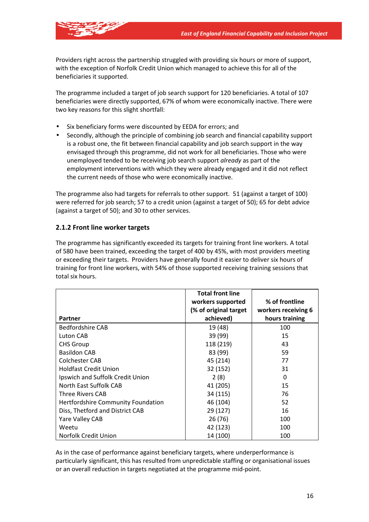

Providers right across the partnership struggled with providing six hours or more of support, with the exception of Norfolk Credit Union which managed to achieve this for all of the beneficiaries it supported.

The programme included a target of job search support for 120 beneficiaries. A total of 107 beneficiaries were directly supported, 67% of whom were economically inactive. There were two key reasons for this slight shortfall:

- Six beneficiary forms were discounted by EEDA for errors; and
- Secondly, although the principle of combining job search and financial capability support is a robust one, the fit between financial capability and job search support in the way envisaged through this programme, did not work for all beneficiaries. Those who were unemployed tended to be receiving job search support *already* as part of the employment interventions with which they were already engaged and it did not reflect the current needs of those who were economically inactive.

The programme also had targets for referrals to other support. 51 (against a target of 100) were referred for job search; 57 to a credit union (against a target of 50); 65 for debt advice (against a target of 50); and 30 to other services.

## **2.1.2 Front line worker targets**

The programme has significantly exceeded its targets for training front line workers. A total of 580 have been trained, exceeding the target of 400 by 45%, with most providers meeting or exceeding their targets. Providers have generally found it easier to deliver six hours of training for front line workers, with 54% of those supported receiving training sessions that total six hours.

|                                           | <b>Total front line</b><br>workers supported | % of frontline      |
|-------------------------------------------|----------------------------------------------|---------------------|
|                                           | (% of original target                        | workers receiving 6 |
| <b>Partner</b>                            | achieved)                                    | hours training      |
| <b>Bedfordshire CAB</b>                   | 19 (48)                                      | 100                 |
| Luton CAB                                 | 39 (99)                                      | 15                  |
| <b>CHS Group</b>                          | 118 (219)                                    | 43                  |
| <b>Basildon CAB</b>                       | 83 (99)                                      | 59                  |
| Colchester CAB                            | 45 (214)                                     | 77                  |
| <b>Holdfast Credit Union</b>              | 32 (152)                                     | 31                  |
| Ipswich and Suffolk Credit Union          | 2(8)                                         | 0                   |
| North East Suffolk CAB                    | 41 (205)                                     | 15                  |
| <b>Three Rivers CAB</b>                   | 34 (115)                                     | 76                  |
| <b>Hertfordshire Community Foundation</b> | 46 (104)                                     | 52                  |
| Diss, Thetford and District CAB           | 29 (127)                                     | 16                  |
| Yare Valley CAB                           | 26 (76)                                      | 100                 |
| Weetu                                     | 42 (123)                                     | 100                 |
| Norfolk Credit Union                      | 14 (100)                                     | 100                 |

As in the case of performance against beneficiary targets, where underperformance is particularly significant, this has resulted from unpredictable staffing or organisational issues or an overall reduction in targets negotiated at the programme mid-point.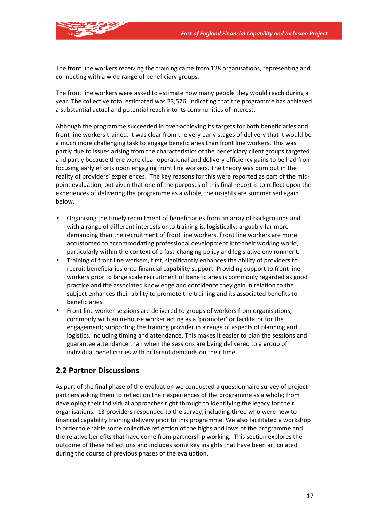

The front line workers receiving the training came from 128 organisations, representing and connecting with a wide range of beneficiary groups.

The front line workers were asked to estimate how many people they would reach during a year. The collective total estimated was 23,576, indicating that the programme has achieved a substantial actual and potential reach into its communities of interest.

Although the programme succeeded in over-achieving its targets for both beneficiaries and front line workers trained, it was clear from the very early stages of delivery that it would be a much more challenging task to engage beneficiaries than front line workers. This was partly due to issues arising from the characteristics of the beneficiary client groups targeted and partly because there were clear operational and delivery efficiency gains to be had from focusing early efforts upon engaging front line workers. The theory was born out in the reality of providers' experiences. The key reasons for this were reported as part of the midpoint evaluation, but given that one of the purposes of this final report is to reflect upon the experiences of delivering the programme as a whole, the insights are summarised again below.

- Organising the timely recruitment of beneficiaries from an array of backgrounds and with a range of different interests onto training is, logistically, arguably far more demanding than the recruitment of front line workers. Front line workers are more accustomed to accommodating professional development into their working world, particularly within the context of a fast-changing policy and legislative environment.
- Training of front line workers, first, significantly enhances the ability of providers to recruit beneficiaries onto financial capability support. Providing support to front line workers prior to large scale recruitment of beneficiaries is commonly regarded as good practice and the associated knowledge and confidence they gain in relation to the subject enhances their ability to promote the training and its associated benefits to beneficiaries.
- Front line worker sessions are delivered to groups of workers from organisations, commonly with an in-house worker acting as a 'promoter' or facilitator for the engagement; supporting the training provider in a range of aspects of planning and logistics, including timing and attendance. This makes it easier to plan the sessions and guarantee attendance than when the sessions are being delivered to a group of individual beneficiaries with different demands on their time.

# **2.2 Partner Discussions**

As part of the final phase of the evaluation we conducted a questionnaire survey of project partners asking them to reflect on their experiences of the programme as a whole; from developing their individual approaches right through to identifying the legacy for their organisations. 13 providers responded to the survey, including three who were new to financial capability training delivery prior to this programme. We also facilitated a workshop in order to enable some collective reflection of the highs and lows of the programme and the relative benefits that have come from partnership working. This section explores the outcome of these reflections and includes some key insights that have been articulated during the course of previous phases of the evaluation.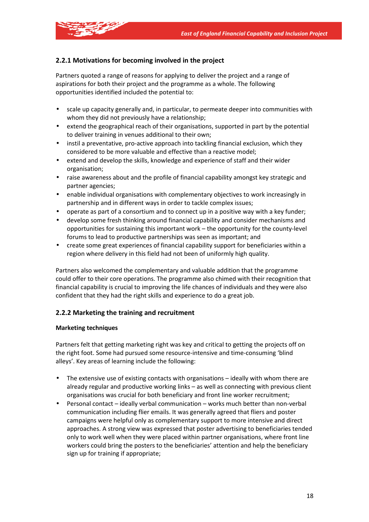

# **2.2.1 Motivations for becoming involved in the project**

Partners quoted a range of reasons for applying to deliver the project and a range of aspirations for both their project and the programme as a whole. The following opportunities identified included the potential to:

- scale up capacity generally and, in particular, to permeate deeper into communities with whom they did not previously have a relationship;
- extend the geographical reach of their organisations, supported in part by the potential to deliver training in venues additional to their own;
- instil a preventative, pro-active approach into tackling financial exclusion, which they considered to be more valuable and effective than a reactive model;
- extend and develop the skills, knowledge and experience of staff and their wider organisation;
- raise awareness about and the profile of financial capability amongst key strategic and partner agencies;
- enable individual organisations with complementary objectives to work increasingly in partnership and in different ways in order to tackle complex issues;
- operate as part of a consortium and to connect up in a positive way with a key funder;
- develop some fresh thinking around financial capability and consider mechanisms and opportunities for sustaining this important work – the opportunity for the county-level forums to lead to productive partnerships was seen as important; and
- create some great experiences of financial capability support for beneficiaries within a region where delivery in this field had not been of uniformly high quality.

Partners also welcomed the complementary and valuable addition that the programme could offer to their core operations. The programme also chimed with their recognition that financial capability is crucial to improving the life chances of individuals and they were also confident that they had the right skills and experience to do a great job.

# **2.2.2 Marketing the training and recruitment**

#### **Marketing techniques**

Partners felt that getting marketing right was key and critical to getting the projects off on the right foot. Some had pursued some resource-intensive and time-consuming 'blind alleys'. Key areas of learning include the following:

- The extensive use of existing contacts with organisations ideally with whom there are already regular and productive working links – as well as connecting with previous client organisations was crucial for both beneficiary and front line worker recruitment;
- Personal contact ideally verbal communication works much better than non-verbal communication including flier emails. It was generally agreed that fliers and poster campaigns were helpful only as complementary support to more intensive and direct approaches. A strong view was expressed that poster advertising to beneficiaries tended only to work well when they were placed within partner organisations, where front line workers could bring the posters to the beneficiaries' attention and help the beneficiary sign up for training if appropriate;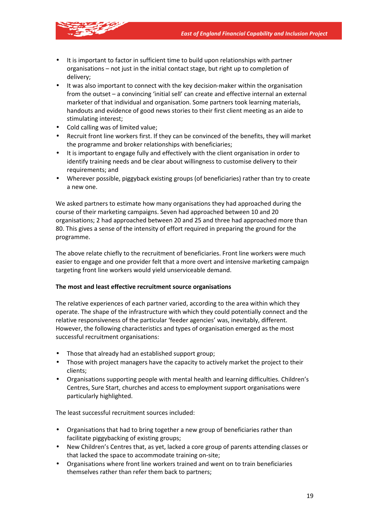

- It is important to factor in sufficient time to build upon relationships with partner organisations – not just in the initial contact stage, but right up to completion of delivery;
- It was also important to connect with the key decision-maker within the organisation from the outset – a convincing 'initial sell' can create and effective internal an external marketer of that individual and organisation. Some partners took learning materials, handouts and evidence of good news stories to their first client meeting as an aide to stimulating interest;
- Cold calling was of limited value;
- Recruit front line workers first. If they can be convinced of the benefits, they will market the programme and broker relationships with beneficiaries;
- It is important to engage fully and effectively with the client organisation in order to identify training needs and be clear about willingness to customise delivery to their requirements; and
- Wherever possible, piggyback existing groups (of beneficiaries) rather than try to create a new one.

We asked partners to estimate how many organisations they had approached during the course of their marketing campaigns. Seven had approached between 10 and 20 organisations; 2 had approached between 20 and 25 and three had approached more than 80. This gives a sense of the intensity of effort required in preparing the ground for the programme.

The above relate chiefly to the recruitment of beneficiaries. Front line workers were much easier to engage and one provider felt that a more overt and intensive marketing campaign targeting front line workers would yield unserviceable demand.

#### **The most and least effective recruitment source organisations**

The relative experiences of each partner varied, according to the area within which they operate. The shape of the infrastructure with which they could potentially connect and the relative responsiveness of the particular 'feeder agencies' was, inevitably, different. However, the following characteristics and types of organisation emerged as the most successful recruitment organisations:

- Those that already had an established support group;
- Those with project managers have the capacity to actively market the project to their clients;
- Organisations supporting people with mental health and learning difficulties. Children's Centres, Sure Start, churches and access to employment support organisations were particularly highlighted.

The least successful recruitment sources included:

- Organisations that had to bring together a new group of beneficiaries rather than facilitate piggybacking of existing groups;
- New Children's Centres that, as yet, lacked a core group of parents attending classes or that lacked the space to accommodate training on-site;
- Organisations where front line workers trained and went on to train beneficiaries themselves rather than refer them back to partners;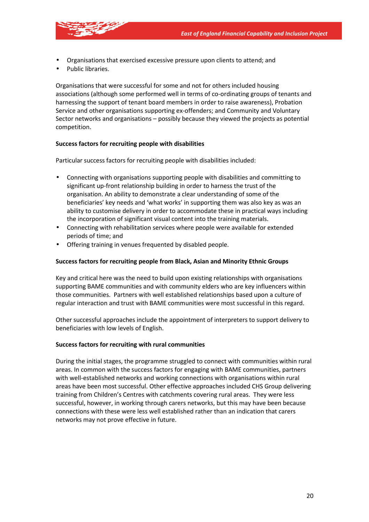- Organisations that exercised excessive pressure upon clients to attend; and
- Public libraries.

Organisations that were successful for some and not for others included housing associations (although some performed well in terms of co-ordinating groups of tenants and harnessing the support of tenant board members in order to raise awareness), Probation Service and other organisations supporting ex-offenders; and Community and Voluntary Sector networks and organisations – possibly because they viewed the projects as potential competition.

#### **Success factors for recruiting people with disabilities**

Particular success factors for recruiting people with disabilities included:

- Connecting with organisations supporting people with disabilities and committing to significant up-front relationship building in order to harness the trust of the organisation. An ability to demonstrate a clear understanding of some of the beneficiaries' key needs and 'what works' in supporting them was also key as was an ability to customise delivery in order to accommodate these in practical ways including the incorporation of significant visual content into the training materials.
- Connecting with rehabilitation services where people were available for extended periods of time; and
- Offering training in venues frequented by disabled people.

#### **Success factors for recruiting people from Black, Asian and Minority Ethnic Groups**

Key and critical here was the need to build upon existing relationships with organisations supporting BAME communities and with community elders who are key influencers within those communities. Partners with well established relationships based upon a culture of regular interaction and trust with BAME communities were most successful in this regard.

Other successful approaches include the appointment of interpreters to support delivery to beneficiaries with low levels of English.

#### **Success factors for recruiting with rural communities**

During the initial stages, the programme struggled to connect with communities within rural areas. In common with the success factors for engaging with BAME communities, partners with well-established networks and working connections with organisations within rural areas have been most successful. Other effective approaches included CHS Group delivering training from Children's Centres with catchments covering rural areas. They were less successful, however, in working through carers networks, but this may have been because connections with these were less well established rather than an indication that carers networks may not prove effective in future.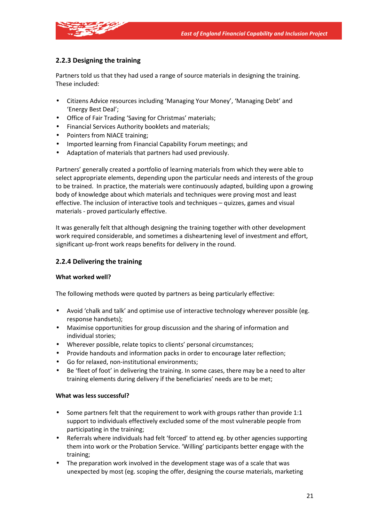

# **2.2.3 Designing the training**

Partners told us that they had used a range of source materials in designing the training. These included:

- Citizens Advice resources including 'Managing Your Money', 'Managing Debt' and 'Energy Best Deal';
- Office of Fair Trading 'Saving for Christmas' materials;
- Financial Services Authority booklets and materials;
- Pointers from NIACE training;
- Imported learning from Financial Capability Forum meetings; and
- Adaptation of materials that partners had used previously.

Partners' generally created a portfolio of learning materials from which they were able to select appropriate elements, depending upon the particular needs and interests of the group to be trained. In practice, the materials were continuously adapted, building upon a growing body of knowledge about which materials and techniques were proving most and least effective. The inclusion of interactive tools and techniques – quizzes, games and visual materials - proved particularly effective.

It was generally felt that although designing the training together with other development work required considerable, and sometimes a disheartening level of investment and effort, significant up-front work reaps benefits for delivery in the round.

## **2.2.4 Delivering the training**

#### **What worked well?**

The following methods were quoted by partners as being particularly effective:

- Avoid 'chalk and talk' and optimise use of interactive technology wherever possible (eg. response handsets);
- Maximise opportunities for group discussion and the sharing of information and individual stories;
- Wherever possible, relate topics to clients' personal circumstances;
- Provide handouts and information packs in order to encourage later reflection;
- Go for relaxed, non-institutional environments;
- Be 'fleet of foot' in delivering the training. In some cases, there may be a need to alter training elements during delivery if the beneficiaries' needs are to be met;

#### **What was less successful?**

- Some partners felt that the requirement to work with groups rather than provide 1:1 support to individuals effectively excluded some of the most vulnerable people from participating in the training;
- Referrals where individuals had felt 'forced' to attend eg. by other agencies supporting them into work or the Probation Service. 'Willing' participants better engage with the training;
- The preparation work involved in the development stage was of a scale that was unexpected by most (eg. scoping the offer, designing the course materials, marketing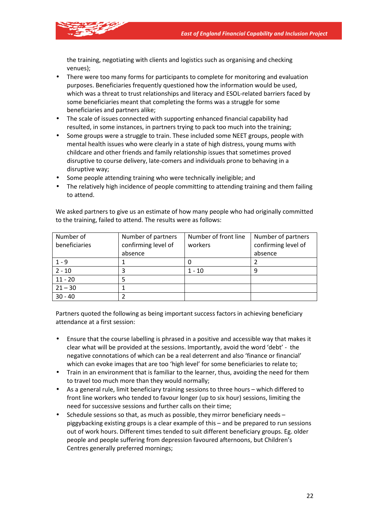

the training, negotiating with clients and logistics such as organising and checking venues);

- There were too many forms for participants to complete for monitoring and evaluation purposes. Beneficiaries frequently questioned how the information would be used, which was a threat to trust relationships and literacy and ESOL-related barriers faced by some beneficiaries meant that completing the forms was a struggle for some beneficiaries and partners alike;
- The scale of issues connected with supporting enhanced financial capability had resulted, in some instances, in partners trying to pack too much into the training;
- Some groups were a struggle to train. These included some NEET groups, people with mental health issues who were clearly in a state of high distress, young mums with childcare and other friends and family relationship issues that sometimes proved disruptive to course delivery, late-comers and individuals prone to behaving in a disruptive way;
- Some people attending training who were technically ineligible; and
- The relatively high incidence of people committing to attending training and them failing to attend.

| Number of     | Number of partners  | Number of front line | Number of partners  |
|---------------|---------------------|----------------------|---------------------|
| beneficiaries | confirming level of | workers              | confirming level of |
|               | absence             |                      | absence             |
| $1 - 9$       |                     |                      |                     |
| $2 - 10$      |                     | $1 - 10$             |                     |
| $11 - 20$     |                     |                      |                     |
| $21 - 30$     |                     |                      |                     |
| $30 - 40$     |                     |                      |                     |

We asked partners to give us an estimate of how many people who had originally committed to the training, failed to attend. The results were as follows:

Partners quoted the following as being important success factors in achieving beneficiary attendance at a first session:

- Ensure that the course labelling is phrased in a positive and accessible way that makes it clear what will be provided at the sessions. Importantly, avoid the word 'debt' - the negative connotations of which can be a real deterrent and also 'finance or financial' which can evoke images that are too 'high level' for some beneficiaries to relate to;
- Train in an environment that is familiar to the learner, thus, avoiding the need for them to travel too much more than they would normally;
- As a general rule, limit beneficiary training sessions to three hours which differed to front line workers who tended to favour longer (up to six hour) sessions, limiting the need for successive sessions and further calls on their time;
- Schedule sessions so that, as much as possible, they mirror beneficiary needs piggybacking existing groups is a clear example of this – and be prepared to run sessions out of work hours. Different times tended to suit different beneficiary groups. Eg. older people and people suffering from depression favoured afternoons, but Children's Centres generally preferred mornings;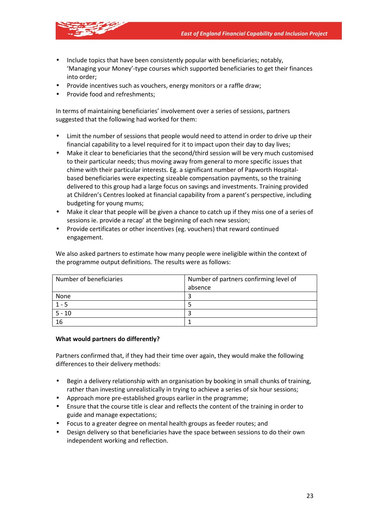

- Include topics that have been consistently popular with beneficiaries; notably, 'Managing your Money'-type courses which supported beneficiaries to get their finances into order;
- Provide incentives such as vouchers, energy monitors or a raffle draw;
- Provide food and refreshments;

In terms of maintaining beneficiaries' involvement over a series of sessions, partners suggested that the following had worked for them:

- Limit the number of sessions that people would need to attend in order to drive up their financial capability to a level required for it to impact upon their day to day lives;
- Make it clear to beneficiaries that the second/third session will be very much customised to their particular needs; thus moving away from general to more specific issues that chime with their particular interests. Eg. a significant number of Papworth Hospitalbased beneficiaries were expecting sizeable compensation payments, so the training delivered to this group had a large focus on savings and investments. Training provided at Children's Centres looked at financial capability from a parent's perspective, including budgeting for young mums;
- Make it clear that people will be given a chance to catch up if they miss one of a series of sessions ie. provide a recap' at the beginning of each new session;
- Provide certificates or other incentives (eg. vouchers) that reward continued engagement.

We also asked partners to estimate how many people were ineligible within the context of the programme output definitions. The results were as follows:

| Number of beneficiaries | Number of partners confirming level of |
|-------------------------|----------------------------------------|
|                         | absence                                |
| None                    |                                        |
| $1 - 5$                 |                                        |
| $5 - 10$                |                                        |
| 16                      |                                        |

#### **What would partners do differently?**

Partners confirmed that, if they had their time over again, they would make the following differences to their delivery methods:

- Begin a delivery relationship with an organisation by booking in small chunks of training, rather than investing unrealistically in trying to achieve a series of six hour sessions;
- Approach more pre-established groups earlier in the programme;
- Ensure that the course title is clear and reflects the content of the training in order to guide and manage expectations;
- Focus to a greater degree on mental health groups as feeder routes; and
- Design delivery so that beneficiaries have the space between sessions to do their own independent working and reflection.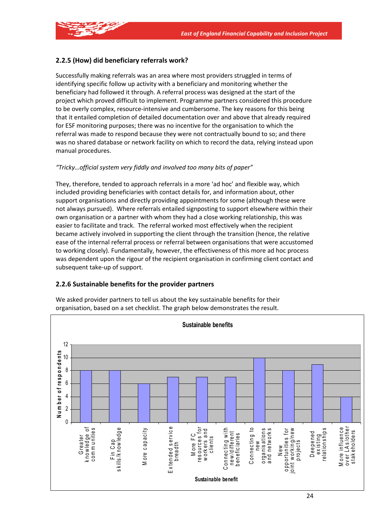

# **2.2.5 (How) did beneficiary referrals work?**

Successfully making referrals was an area where most providers struggled in terms of identifying specific follow up activity with a beneficiary and monitoring whether the beneficiary had followed it through. A referral process was designed at the start of the project which proved difficult to implement. Programme partners considered this procedure to be overly complex, resource-intensive and cumbersome. The key reasons for this being that it entailed completion of detailed documentation over and above that already required for ESF monitoring purposes; there was no incentive for the organisation to which the referral was made to respond because they were not contractually bound to so; and there was no shared database or network facility on which to record the data, relying instead upon manual procedures.

## *"Tricky…official system very fiddly and involved too many bits of paper"*

They, therefore, tended to approach referrals in a more 'ad hoc' and flexible way, which included providing beneficiaries with contact details for, and information about, other support organisations and directly providing appointments for some (although these were not always pursued). Where referrals entailed signposting to support elsewhere within their own organisation or a partner with whom they had a close working relationship, this was easier to facilitate and track. The referral worked most effectively when the recipient became actively involved in supporting the client through the transition (hence, the relative ease of the internal referral process or referral between organisations that were accustomed to working closely). Fundamentally, however, the effectiveness of this more ad hoc process was dependent upon the rigour of the recipient organisation in confirming client contact and subsequent take-up of support.

## **2.2.6 Sustainable benefits for the provider partners**



We asked provider partners to tell us about the key sustainable benefits for their organisation, based on a set checklist. The graph below demonstrates the result.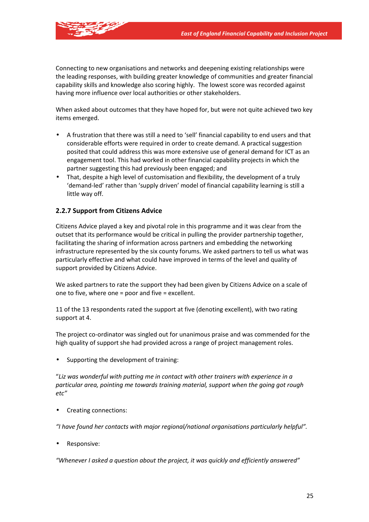

Connecting to new organisations and networks and deepening existing relationships were the leading responses, with building greater knowledge of communities and greater financial capability skills and knowledge also scoring highly. The lowest score was recorded against having more influence over local authorities or other stakeholders.

When asked about outcomes that they have hoped for, but were not quite achieved two key items emerged.

- A frustration that there was still a need to 'sell' financial capability to end users and that considerable efforts were required in order to create demand. A practical suggestion posited that could address this was more extensive use of general demand for ICT as an engagement tool. This had worked in other financial capability projects in which the partner suggesting this had previously been engaged; and
- That, despite a high level of customisation and flexibility, the development of a truly 'demand-led' rather than 'supply driven' model of financial capability learning is still a little way off.

## **2.2.7 Support from Citizens Advice**

Citizens Advice played a key and pivotal role in this programme and it was clear from the outset that its performance would be critical in pulling the provider partnership together, facilitating the sharing of information across partners and embedding the networking infrastructure represented by the six county forums. We asked partners to tell us what was particularly effective and what could have improved in terms of the level and quality of support provided by Citizens Advice.

We asked partners to rate the support they had been given by Citizens Advice on a scale of one to five, where one = poor and five = excellent.

11 of the 13 respondents rated the support at five (denoting excellent), with two rating support at 4.

The project co-ordinator was singled out for unanimous praise and was commended for the high quality of support she had provided across a range of project management roles.

• Supporting the development of training:

"*Liz was wonderful with putting me in contact with other trainers with experience in a particular area, pointing me towards training material, support when the going got rough etc"* 

• Creating connections:

*"I have found her contacts with major regional/national organisations particularly helpful".* 

• Responsive:

*"Whenever I asked a question about the project, it was quickly and efficiently answered"*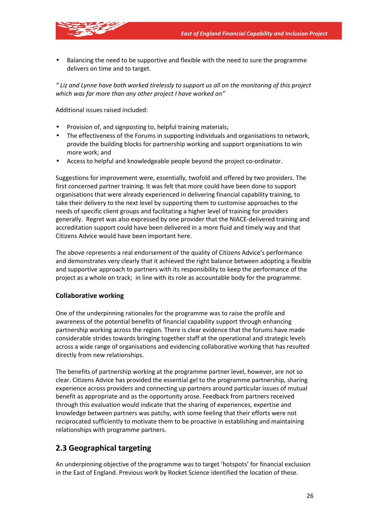

• Balancing the need to be supportive and flexible with the need to sure the programme delivers on time and to target.

*" Liz and Lynne have both worked tirelessly to support us all on the monitoring of this project which was far more than any other project I have worked on"* 

Additional issues raised included:

- Provision of, and signposting to, helpful training materials;
- The effectiveness of the Forums in supporting individuals and organisations to network, provide the building blocks for partnership working and support organisations to win more work; and
- Access to helpful and knowledgeable people beyond the project co-ordinator.

Suggestions for improvement were, essentially, twofold and offered by two providers. The first concerned partner training. It was felt that more could have been done to support organisations that were already experienced in delivering financial capability training, to take their delivery to the next level by supporting them to customise approaches to the needs of specific client groups and facilitating a higher level of training for providers generally. Regret was also expressed by one provider that the NIACE-delivered training and accreditation support could have been delivered in a more fluid and timely way and that Citizens Advice would have been important here.

The above represents a real endorsement of the quality of Citizens Advice's performance and demonstrates very clearly that it achieved the right balance between adopting a flexible and supportive approach to partners with its responsibility to keep the performance of the project as a whole on track; in line with its role as accountable body for the programme.

## **Collaborative working**

One of the underpinning rationales for the programme was to raise the profile and awareness of the potential benefits of financial capability support through enhancing partnership working across the region. There is clear evidence that the forums have made considerable strides towards bringing together staff at the operational and strategic levels across a wide range of organisations and evidencing collaborative working that has resulted directly from new relationships.

The benefits of partnership working at the programme partner level, however, are not so clear. Citizens Advice has provided the essential gel to the programme partnership, sharing experience across providers and connecting up partners around particular issues of mutual benefit as appropriate and as the opportunity arose. Feedback from partners received through this evaluation would indicate that the sharing of experiences, expertise and knowledge between partners was patchy, with some feeling that their efforts were not reciprocated sufficiently to motivate them to be proactive in establishing and maintaining relationships with programme partners.

# **2.3 Geographical targeting**

An underpinning objective of the programme was to target 'hotspots' for financial exclusion in the East of England. Previous work by Rocket Science identified the location of these.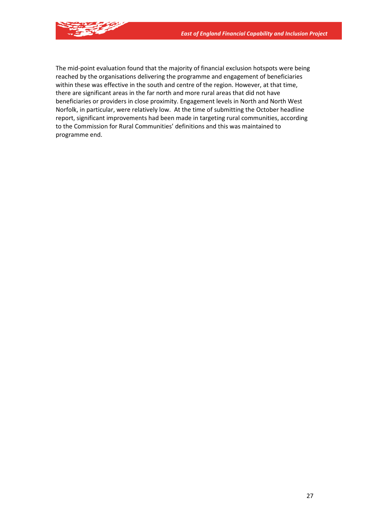

The mid-point evaluation found that the majority of financial exclusion hotspots were being reached by the organisations delivering the programme and engagement of beneficiaries within these was effective in the south and centre of the region. However, at that time, there are significant areas in the far north and more rural areas that did not have beneficiaries or providers in close proximity. Engagement levels in North and North West Norfolk, in particular, were relatively low. At the time of submitting the October headline report, significant improvements had been made in targeting rural communities, according to the Commission for Rural Communities' definitions and this was maintained to programme end.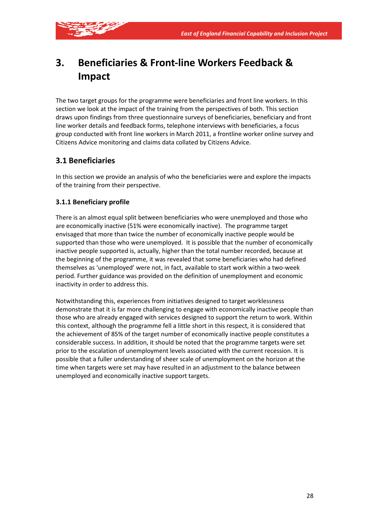

# **3. Beneficiaries & Front-line Workers Feedback & Impact**

The two target groups for the programme were beneficiaries and front line workers. In this section we look at the impact of the training from the perspectives of both. This section draws upon findings from three questionnaire surveys of beneficiaries, beneficiary and front line worker details and feedback forms, telephone interviews with beneficiaries, a focus group conducted with front line workers in March 2011, a frontline worker online survey and Citizens Advice monitoring and claims data collated by Citizens Advice.

# **3.1 Beneficiaries**

In this section we provide an analysis of who the beneficiaries were and explore the impacts of the training from their perspective.

# **3.1.1 Beneficiary profile**

There is an almost equal split between beneficiaries who were unemployed and those who are economically inactive (51% were economically inactive). The programme target envisaged that more than twice the number of economically inactive people would be supported than those who were unemployed. It is possible that the number of economically inactive people supported is, actually, higher than the total number recorded, because at the beginning of the programme, it was revealed that some beneficiaries who had defined themselves as 'unemployed' were not, in fact, available to start work within a two-week period. Further guidance was provided on the definition of unemployment and economic inactivity in order to address this.

Notwithstanding this, experiences from initiatives designed to target worklessness demonstrate that it is far more challenging to engage with economically inactive people than those who are already engaged with services designed to support the return to work. Within this context, although the programme fell a little short in this respect, it is considered that the achievement of 85% of the target number of economically inactive people constitutes a considerable success. In addition, it should be noted that the programme targets were set prior to the escalation of unemployment levels associated with the current recession. It is possible that a fuller understanding of sheer scale of unemployment on the horizon at the time when targets were set may have resulted in an adjustment to the balance between unemployed and economically inactive support targets.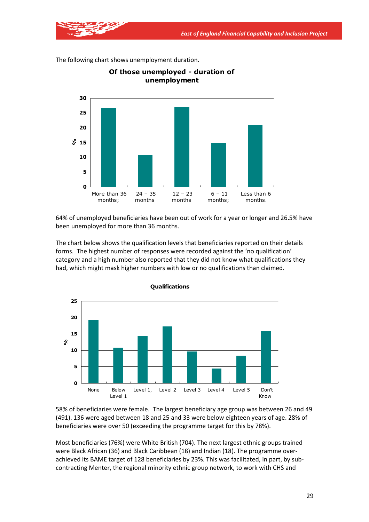**unemployment 0 5 10 15 %20 25 30** More than 36 months; 24 – 35 months  $12 - 23$ months  $6 - 11$ months; Less than 6 months.

**Of those unemployed - duration of** 

The following chart shows unemployment duration.

64% of unemployed beneficiaries have been out of work for a year or longer and 26.5% have been unemployed for more than 36 months.

The chart below shows the qualification levels that beneficiaries reported on their details forms. The highest number of responses were recorded against the 'no qualification' category and a high number also reported that they did not know what qualifications they had, which might mask higher numbers with low or no qualifications than claimed.



58% of beneficiaries were female. The largest beneficiary age group was between 26 and 49 (491). 136 were aged between 18 and 25 and 33 were below eighteen years of age. 28% of beneficiaries were over 50 (exceeding the programme target for this by 78%).

Most beneficiaries (76%) were White British (704). The next largest ethnic groups trained were Black African (36) and Black Caribbean (18) and Indian (18). The programme overachieved its BAME target of 128 beneficiaries by 23%. This was facilitated, in part, by subcontracting Menter, the regional minority ethnic group network, to work with CHS and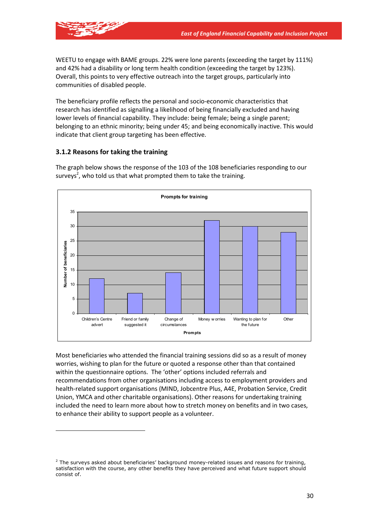

WEETU to engage with BAME groups. 22% were lone parents (exceeding the target by 111%) and 42% had a disability or long term health condition (exceeding the target by 123%). Overall, this points to very effective outreach into the target groups, particularly into communities of disabled people.

The beneficiary profile reflects the personal and socio-economic characteristics that research has identified as signalling a likelihood of being financially excluded and having lower levels of financial capability. They include: being female; being a single parent; belonging to an ethnic minority; being under 45; and being economically inactive. This would indicate that client group targeting has been effective.

# **3.1.2 Reasons for taking the training**

The graph below shows the response of the 103 of the 108 beneficiaries responding to our surveys<sup>2</sup>, who told us that what prompted them to take the training.



Most beneficiaries who attended the financial training sessions did so as a result of money worries, wishing to plan for the future or quoted a response other than that contained within the questionnaire options. The 'other' options included referrals and recommendations from other organisations including access to employment providers and health-related support organisations (MIND, Jobcentre Plus, A4E, Probation Service, Credit Union, YMCA and other charitable organisations). Other reasons for undertaking training included the need to learn more about how to stretch money on benefits and in two cases, to enhance their ability to support people as a volunteer.

 $<sup>2</sup>$  The surveys asked about beneficiaries' background money-related issues and reasons for training,</sup> satisfaction with the course, any other benefits they have perceived and what future support should consist of.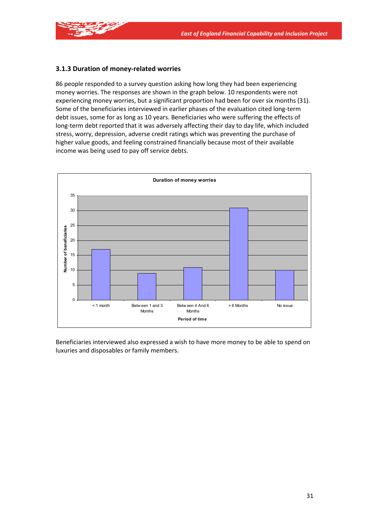

## **3.1.3 Duration of money-related worries**

86 people responded to a survey question asking how long they had been experiencing money worries. The responses are shown in the graph below. 10 respondents were not experiencing money worries, but a significant proportion had been for over six months (31). Some of the beneficiaries interviewed in earlier phases of the evaluation cited long-term debt issues, some for as long as 10 years. Beneficiaries who were suffering the effects of long-term debt reported that it was adversely affecting their day to day life, which included stress, worry, depression, adverse credit ratings which was preventing the purchase of higher value goods, and feeling constrained financially because most of their available income was being used to pay off service debts.



Beneficiaries interviewed also expressed a wish to have more money to be able to spend on luxuries and disposables or family members.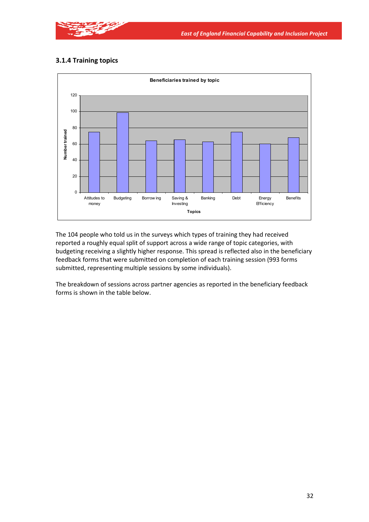

# **3.1.4 Training topics**



The 104 people who told us in the surveys which types of training they had received reported a roughly equal split of support across a wide range of topic categories, with budgeting receiving a slightly higher response. This spread is reflected also in the beneficiary feedback forms that were submitted on completion of each training session (993 forms submitted, representing multiple sessions by some individuals).

The breakdown of sessions across partner agencies as reported in the beneficiary feedback forms is shown in the table below.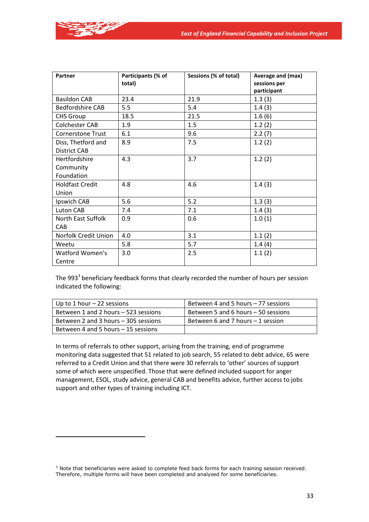

| Partner                  | Participants (% of | Sessions (% of total) | Average and (max)           |
|--------------------------|--------------------|-----------------------|-----------------------------|
|                          | total)             |                       | sessions per<br>participant |
| <b>Basildon CAB</b>      | 23.4               | 21.9                  | 1.3(3)                      |
| <b>Bedfordshire CAB</b>  | 5.5                | 5.4                   | 1.4(3)                      |
| <b>CHS Group</b>         | 18.5               | 21.5                  | 1.6(6)                      |
| Colchester CAB           | 1.9                | 1.5                   | 1.2(2)                      |
| <b>Cornerstone Trust</b> | 6.1                | 9.6                   | 2.2(7)                      |
| Diss, Thetford and       | 8.9                | 7.5                   | 1.2(2)                      |
| <b>District CAB</b>      |                    |                       |                             |
| Hertfordshire            | 4.3                | 3.7                   | 1.2(2)                      |
| Community                |                    |                       |                             |
| Foundation               |                    |                       |                             |
| <b>Holdfast Credit</b>   | 4.8                | 4.6                   | 1.4(3)                      |
| Union                    |                    |                       |                             |
| Ipswich CAB              | 5.6                | 5.2                   | 1.3(3)                      |
| Luton CAB                | 7.4                | 7.1                   | 1.4(3)                      |
| North East Suffolk       | 0.9                | 0.6                   | 1.0(1)                      |
| <b>CAB</b>               |                    |                       |                             |
| Norfolk Credit Union     | 4.0                | 3.1                   | 1.1(2)                      |
| Weetu                    | 5.8                | 5.7                   | 1.4(4)                      |
| Watford Women's          | 3.0                | 2.5                   | 1.1(2)                      |
| Centre                   |                    |                       |                             |

The 993<sup>3</sup> beneficiary feedback forms that clearly recorded the number of hours per session indicated the following:

| Up to 1 hour $-22$ sessions          | Between 4 and 5 hours – 77 sessions |
|--------------------------------------|-------------------------------------|
| Between 1 and 2 hours - 523 sessions | Between 5 and 6 hours – 50 sessions |
| Between 2 and 3 hours – 305 sessions | Between 6 and 7 hours – 1 session   |
| Between 4 and 5 hours – 15 sessions  |                                     |

In terms of referrals to other support, arising from the training, end of programme monitoring data suggested that 51 related to job search, 55 related to debt advice, 65 were referred to a Credit Union and that there were 30 referrals to 'other' sources of support some of which were unspecified. Those that were defined included support for anger management, ESOL, study advice, general CAB and benefits advice, further access to jobs support and other types of training including ICT.

<sup>&</sup>lt;sup>3</sup> Note that beneficiaries were asked to complete feed back forms for each training session received. Therefore, multiple forms will have been completed and analysed for some beneficiaries.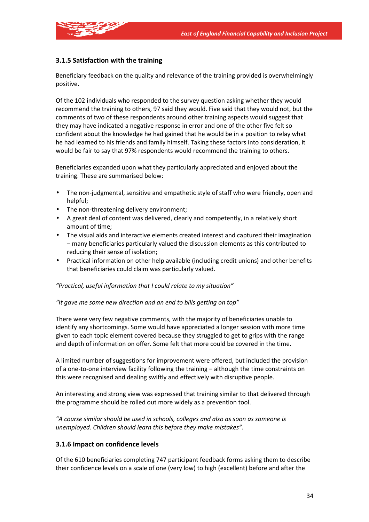

# **3.1.5 Satisfaction with the training**

Beneficiary feedback on the quality and relevance of the training provided is overwhelmingly positive.

Of the 102 individuals who responded to the survey question asking whether they would recommend the training to others, 97 said they would. Five said that they would not, but the comments of two of these respondents around other training aspects would suggest that they may have indicated a negative response in error and one of the other five felt so confident about the knowledge he had gained that he would be in a position to relay what he had learned to his friends and family himself. Taking these factors into consideration, it would be fair to say that 97% respondents would recommend the training to others.

Beneficiaries expanded upon what they particularly appreciated and enjoyed about the training. These are summarised below:

- The non-judgmental, sensitive and empathetic style of staff who were friendly, open and helpful;
- The non-threatening delivery environment;
- A great deal of content was delivered, clearly and competently, in a relatively short amount of time;
- The visual aids and interactive elements created interest and captured their imagination – many beneficiaries particularly valued the discussion elements as this contributed to reducing their sense of isolation;
- Practical information on other help available (including credit unions) and other benefits that beneficiaries could claim was particularly valued.

*"Practical, useful information that I could relate to my situation"* 

*"It gave me some new direction and an end to bills getting on top"* 

There were very few negative comments, with the majority of beneficiaries unable to identify any shortcomings. Some would have appreciated a longer session with more time given to each topic element covered because they struggled to get to grips with the range and depth of information on offer. Some felt that more could be covered in the time.

A limited number of suggestions for improvement were offered, but included the provision of a one-to-one interview facility following the training – although the time constraints on this were recognised and dealing swiftly and effectively with disruptive people.

An interesting and strong view was expressed that training similar to that delivered through the programme should be rolled out more widely as a prevention tool.

*"A course similar should be used in schools, colleges and also as soon as someone is unemployed. Children should learn this before they make mistakes".* 

#### **3.1.6 Impact on confidence levels**

Of the 610 beneficiaries completing 747 participant feedback forms asking them to describe their confidence levels on a scale of one (very low) to high (excellent) before and after the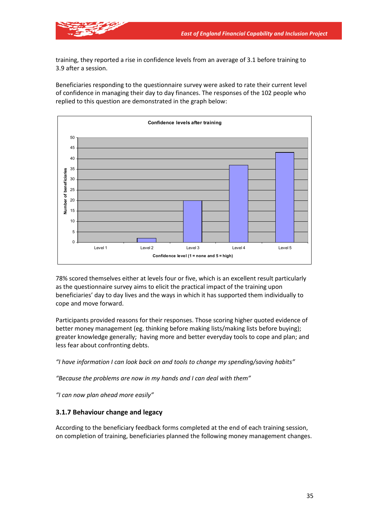

training, they reported a rise in confidence levels from an average of 3.1 before training to 3.9 after a session.

Beneficiaries responding to the questionnaire survey were asked to rate their current level of confidence in managing their day to day finances. The responses of the 102 people who replied to this question are demonstrated in the graph below:



78% scored themselves either at levels four or five, which is an excellent result particularly as the questionnaire survey aims to elicit the practical impact of the training upon beneficiaries' day to day lives and the ways in which it has supported them individually to cope and move forward.

Participants provided reasons for their responses. Those scoring higher quoted evidence of better money management (eg. thinking before making lists/making lists before buying); greater knowledge generally; having more and better everyday tools to cope and plan; and less fear about confronting debts.

*"I have information I can look back on and tools to change my spending/saving habits"* 

*"Because the problems are now in my hands and I can deal with them"* 

*"I can now plan ahead more easily"*

## **3.1.7 Behaviour change and legacy**

According to the beneficiary feedback forms completed at the end of each training session, on completion of training, beneficiaries planned the following money management changes.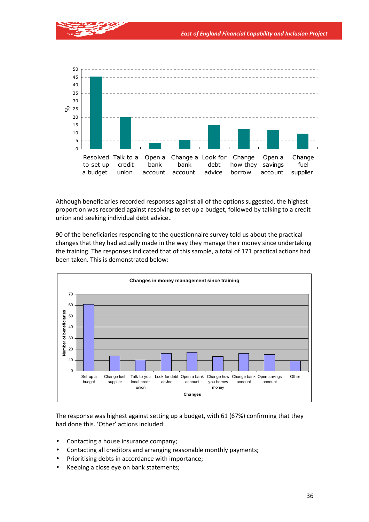

Although beneficiaries recorded responses against all of the options suggested, the highest proportion was recorded against resolving to set up a budget, followed by talking to a credit union and seeking individual debt advice..

90 of the beneficiaries responding to the questionnaire survey told us about the practical changes that they had actually made in the way they manage their money since undertaking the training. The responses indicated that of this sample, a total of 171 practical actions had been taken. This is demonstrated below:



The response was highest against setting up a budget, with 61 (67%) confirming that they had done this. 'Other' actions included:

- Contacting a house insurance company;
- Contacting all creditors and arranging reasonable monthly payments;
- Prioritising debts in accordance with importance;
- Keeping a close eye on bank statements;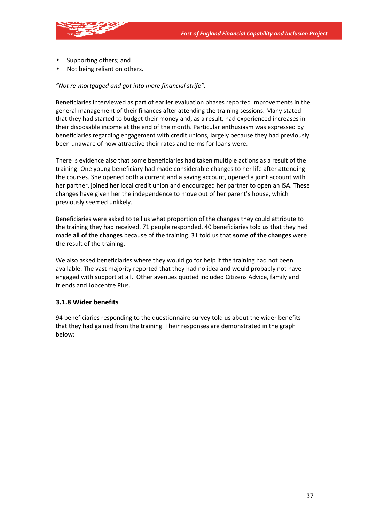

- Supporting others; and
- Not being reliant on others.

#### *"Not re-mortgaged and got into more financial strife".*

Beneficiaries interviewed as part of earlier evaluation phases reported improvements in the general management of their finances after attending the training sessions. Many stated that they had started to budget their money and, as a result, had experienced increases in their disposable income at the end of the month. Particular enthusiasm was expressed by beneficiaries regarding engagement with credit unions, largely because they had previously been unaware of how attractive their rates and terms for loans were.

There is evidence also that some beneficiaries had taken multiple actions as a result of the training. One young beneficiary had made considerable changes to her life after attending the courses. She opened both a current and a saving account, opened a joint account with her partner, joined her local credit union and encouraged her partner to open an ISA. These changes have given her the independence to move out of her parent's house, which previously seemed unlikely.

Beneficiaries were asked to tell us what proportion of the changes they could attribute to the training they had received. 71 people responded. 40 beneficiaries told us that they had made **all of the changes** because of the training. 31 told us that **some of the changes** were the result of the training.

We also asked beneficiaries where they would go for help if the training had not been available. The vast majority reported that they had no idea and would probably not have engaged with support at all. Other avenues quoted included Citizens Advice, family and friends and Jobcentre Plus.

#### **3.1.8 Wider benefits**

94 beneficiaries responding to the questionnaire survey told us about the wider benefits that they had gained from the training. Their responses are demonstrated in the graph below: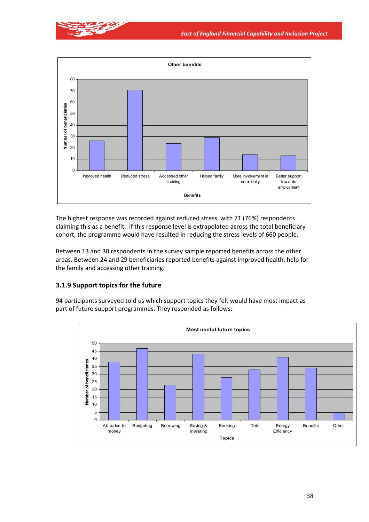



The highest response was recorded against reduced stress, with 71 (76%) respondents claiming this as a benefit. If this response level is extrapolated across the total beneficiary cohort, the programme would have resulted in reducing the stress levels of 660 people.

Between 13 and 30 respondents in the survey sample reported benefits across the other areas. Between 24 and 29 beneficiaries reported benefits against improved health, help for the family and accessing other training.

#### **3.1.9 Support topics for the future**

94 participants surveyed told us which support topics they felt would have most impact as part of future support programmes. They responded as follows:

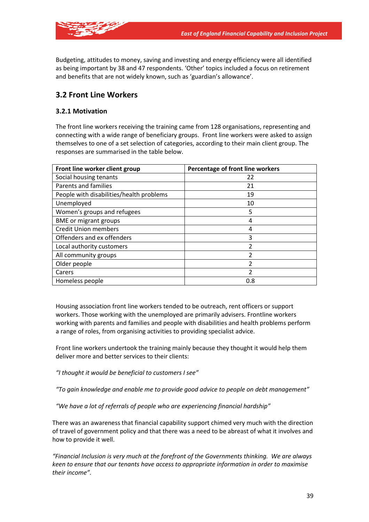

Budgeting, attitudes to money, saving and investing and energy efficiency were all identified as being important by 38 and 47 respondents. 'Other' topics included a focus on retirement and benefits that are not widely known, such as 'guardian's allowance'.

# **3.2 Front Line Workers**

### **3.2.1 Motivation**

The front line workers receiving the training came from 128 organisations, representing and connecting with a wide range of beneficiary groups. Front line workers were asked to assign themselves to one of a set selection of categories, according to their main client group. The responses are summarised in the table below.

| Front line worker client group           | Percentage of front line workers |
|------------------------------------------|----------------------------------|
| Social housing tenants                   | 22                               |
| Parents and families                     | 21                               |
| People with disabilities/health problems | 19                               |
| Unemployed                               | 10                               |
| Women's groups and refugees              | 5                                |
| <b>BME</b> or migrant groups             | 4                                |
| <b>Credit Union members</b>              | 4                                |
| Offenders and ex offenders               | 3                                |
| Local authority customers                | $\mathfrak z$                    |
| All community groups                     |                                  |
| Older people                             | $\mathfrak z$                    |
| Carers                                   | $\overline{2}$                   |
| Homeless people                          | 0.8                              |

Housing association front line workers tended to be outreach, rent officers or support workers. Those working with the unemployed are primarily advisers. Frontline workers working with parents and families and people with disabilities and health problems perform a range of roles, from organising activities to providing specialist advice.

Front line workers undertook the training mainly because they thought it would help them deliver more and better services to their clients:

*"I thought it would be beneficial to customers I see"* 

*"To gain knowledge and enable me to provide good advice to people on debt management"* 

*"We have a lot of referrals of people who are experiencing financial hardship"* 

There was an awareness that financial capability support chimed very much with the direction of travel of government policy and that there was a need to be abreast of what it involves and how to provide it well.

*"Financial Inclusion is very much at the forefront of the Governments thinking. We are always keen to ensure that our tenants have access to appropriate information in order to maximise their income".*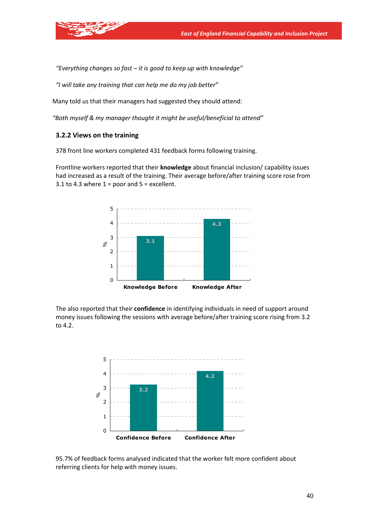*"Everything changes so fast – it is good to keep up with knowledge"* 

*"I will take any training that can help me do my job better"* 

Many told us that their managers had suggested they should attend:

*"Both myself & my manager thought it might be useful/beneficial to attend"* 

#### **3.2.2 Views on the training**

378 front line workers completed 431 feedback forms following training.

Frontline workers reported that their **knowledge** about financial inclusion/ capability issues had increased as a result of the training. Their average before/after training score rose from 3.1 to 4.3 where  $1 =$  poor and  $5 =$  excellent.



The also reported that their **confidence** in identifying individuals in need of support around money issues following the sessions with average before/after training score rising from 3.2 to 4.2.



95.7% of feedback forms analysed indicated that the worker felt more confident about referring clients for help with money issues.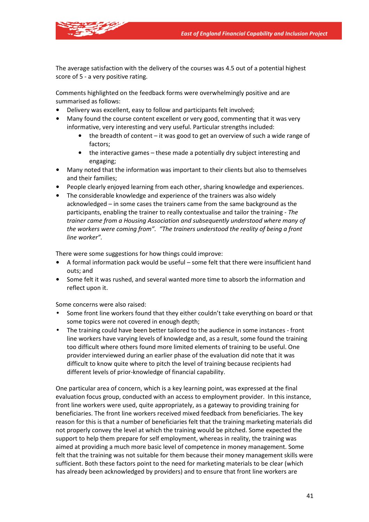

The average satisfaction with the delivery of the courses was 4.5 out of a potential highest score of 5 - a very positive rating.

Comments highlighted on the feedback forms were overwhelmingly positive and are summarised as follows:

- Delivery was excellent, easy to follow and participants felt involved;
- Many found the course content excellent or very good, commenting that it was very informative, very interesting and very useful. Particular strengths included:
	- the breadth of content it was good to get an overview of such a wide range of factors;
	- the interactive games these made a potentially dry subject interesting and engaging;
- Many noted that the information was important to their clients but also to themselves and their families;
- People clearly enjoyed learning from each other, sharing knowledge and experiences.
- The considerable knowledge and experience of the trainers was also widely acknowledged – in some cases the trainers came from the same background as the participants, enabling the trainer to really contextualise and tailor the training - *The trainer came from a Housing Association and subsequently understood where many of the workers were coming from". "The trainers understood the reality of being a front line worker".*

There were some suggestions for how things could improve:

- A formal information pack would be useful some felt that there were insufficient hand outs; and
- Some felt it was rushed, and several wanted more time to absorb the information and reflect upon it.

Some concerns were also raised:

- Some front line workers found that they either couldn't take everything on board or that some topics were not covered in enough depth;
- The training could have been better tailored to the audience in some instances front line workers have varying levels of knowledge and, as a result, some found the training too difficult where others found more limited elements of training to be useful. One provider interviewed during an earlier phase of the evaluation did note that it was difficult to know quite where to pitch the level of training because recipients had different levels of prior-knowledge of financial capability.

One particular area of concern, which is a key learning point, was expressed at the final evaluation focus group, conducted with an access to employment provider. In this instance, front line workers were used, quite appropriately, as a gateway to providing training for beneficiaries. The front line workers received mixed feedback from beneficiaries. The key reason for this is that a number of beneficiaries felt that the training marketing materials did not properly convey the level at which the training would be pitched. Some expected the support to help them prepare for self employment, whereas in reality, the training was aimed at providing a much more basic level of competence in money management. Some felt that the training was not suitable for them because their money management skills were sufficient. Both these factors point to the need for marketing materials to be clear (which has already been acknowledged by providers) and to ensure that front line workers are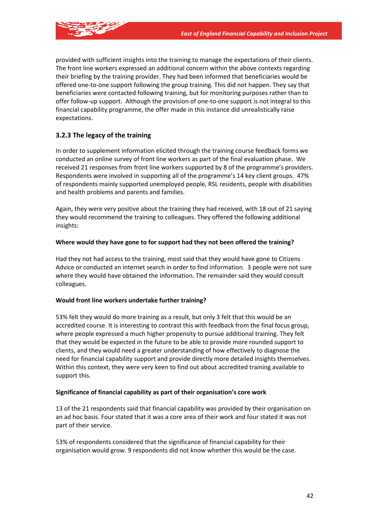

provided with sufficient insights into the training to manage the expectations of their clients. The front line workers expressed an additional concern within the above contexts regarding their briefing by the training provider. They had been informed that beneficiaries would be offered one-to-one support following the group training. This did not happen. They say that beneficiaries were contacted following training, but for monitoring purposes rather than to offer follow-up support. Although the provision of one-to-one support is not integral to this financial capability programme, the offer made in this instance did unrealistically raise expectations.

### **3.2.3 The legacy of the training**

In order to supplement information elicited through the training course feedback forms we conducted an online survey of front line workers as part of the final evaluation phase. We received 21 responses from front line workers supported by 8 of the programme's providers. Respondents were involved in supporting all of the programme's 14 key client groups. 47% of respondents mainly supported unemployed people, RSL residents, people with disabilities and health problems and parents and families.

Again, they were very positive about the training they had received, with 18 out of 21 saying they would recommend the training to colleagues. They offered the following additional insights:

#### **Where would they have gone to for support had they not been offered the training?**

Had they not had access to the training, most said that they would have gone to Citizens Advice or conducted an internet search in order to find information. 3 people were not sure where they would have obtained the information. The remainder said they would consult colleagues.

#### **Would front line workers undertake further training?**

53% felt they would do more training as a result, but only 3 felt that this would be an accredited course. It is interesting to contrast this with feedback from the final focus group, where people expressed a much higher propensity to pursue additional training. They felt that they would be expected in the future to be able to provide more rounded support to clients, and they would need a greater understanding of how effectively to diagnose the need for financial capability support and provide directly more detailed insights themselves. Within this context, they were very keen to find out about accredited training available to support this.

#### **Significance of financial capability as part of their organisation's core work**

13 of the 21 respondents said that financial capability was provided by their organisation on an ad hoc basis. Four stated that it was a core area of their work and four stated it was not part of their service.

53% of respondents considered that the significance of financial capability for their organisation would grow. 9 respondents did not know whether this would be the case.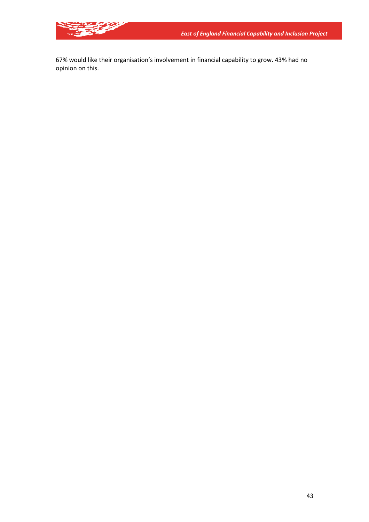67% would like their organisation's involvement in financial capability to grow. 43% had no opinion on this.

**READER**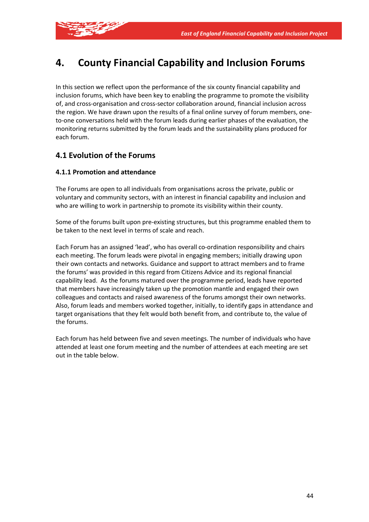

# **4. County Financial Capability and Inclusion Forums**

In this section we reflect upon the performance of the six county financial capability and inclusion forums, which have been key to enabling the programme to promote the visibility of, and cross-organisation and cross-sector collaboration around, financial inclusion across the region. We have drawn upon the results of a final online survey of forum members, oneto-one conversations held with the forum leads during earlier phases of the evaluation, the monitoring returns submitted by the forum leads and the sustainability plans produced for each forum.

## **4.1 Evolution of the Forums**

### **4.1.1 Promotion and attendance**

The Forums are open to all individuals from organisations across the private, public or voluntary and community sectors, with an interest in financial capability and inclusion and who are willing to work in partnership to promote its visibility within their county.

Some of the forums built upon pre-existing structures, but this programme enabled them to be taken to the next level in terms of scale and reach.

Each Forum has an assigned 'lead', who has overall co-ordination responsibility and chairs each meeting. The forum leads were pivotal in engaging members; initially drawing upon their own contacts and networks. Guidance and support to attract members and to frame the forums' was provided in this regard from Citizens Advice and its regional financial capability lead. As the forums matured over the programme period, leads have reported that members have increasingly taken up the promotion mantle and engaged their own colleagues and contacts and raised awareness of the forums amongst their own networks. Also, forum leads and members worked together, initially, to identify gaps in attendance and target organisations that they felt would both benefit from, and contribute to, the value of the forums.

Each forum has held between five and seven meetings. The number of individuals who have attended at least one forum meeting and the number of attendees at each meeting are set out in the table below.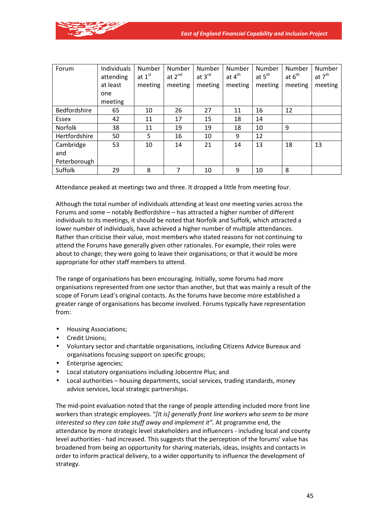

| Forum          | Individuals<br>attending | Number<br>at $1st$ | Number<br>at $2^{nd}$ | Number<br>at $3^{\text{rd}}$ | Number<br>at $4th$ | Number<br>at $5^{\text{th}}$ | Number<br>at $6th$ | Number<br>at 7 <sup>th</sup> |
|----------------|--------------------------|--------------------|-----------------------|------------------------------|--------------------|------------------------------|--------------------|------------------------------|
|                | at least                 | meeting            | meeting               | meeting                      | meeting            | meeting                      | meeting            | meeting                      |
|                | one                      |                    |                       |                              |                    |                              |                    |                              |
|                | meeting                  |                    |                       |                              |                    |                              |                    |                              |
| Bedfordshire   | 65                       | 10                 | 26                    | 27                           | 11                 | 16                           | 12                 |                              |
| Essex          | 42                       | 11                 | 17                    | 15                           | 18                 | 14                           |                    |                              |
| <b>Norfolk</b> | 38                       | 11                 | 19                    | 19                           | 18                 | 10                           | 9                  |                              |
| Hertfordshire  | 50                       | 5                  | 16                    | 10                           | 9                  | 12                           |                    |                              |
| Cambridge      | 53                       | 10                 | 14                    | 21                           | 14                 | 13                           | 18                 | 13                           |
| and            |                          |                    |                       |                              |                    |                              |                    |                              |
| Peterborough   |                          |                    |                       |                              |                    |                              |                    |                              |
| Suffolk        | 29                       | 8                  | 7                     | 10                           | 9                  | 10                           | 8                  |                              |

Attendance peaked at meetings two and three. It dropped a little from meeting four.

Although the total number of individuals attending at least one meeting varies across the Forums and some – notably Bedfordshire – has attracted a higher number of different individuals to its meetings, it should be noted that Norfolk and Suffolk, which attracted a lower number of individuals, have achieved a higher number of multiple attendances. Rather than criticise their value, most members who stated reasons for not continuing to attend the Forums have generally given other rationales. For example, their roles were about to change; they were going to leave their organisations; or that it would be more appropriate for other staff members to attend.

The range of organisations has been encouraging. Initially, some forums had more organisations represented from one sector than another, but that was mainly a result of the scope of Forum Lead's original contacts. As the forums have become more established a greater range of organisations has become involved. Forums typically have representation from:

- Housing Associations;
- Credit Unions;
- Voluntary sector and charitable organisations, including Citizens Advice Bureaux and organisations focusing support on specific groups;
- Enterprise agencies;
- Local statutory organisations including Jobcentre Plus; and
- Local authorities housing departments, social services, trading standards, money advice services, local strategic partnerships.

The mid-point evaluation noted that the range of people attending included more front line workers than strategic employees. "*[It is] generally front line workers who seem to be more interested so they can take stuff away and implement it".* At programme end, the attendance by more strategic level stakeholders and influencers - including local and county level authorities - had increased. This suggests that the perception of the forums' value has broadened from being an opportunity for sharing materials, ideas, insights and contacts in order to inform practical delivery, to a wider opportunity to influence the development of strategy.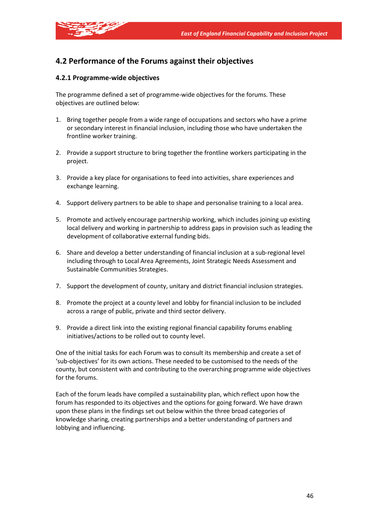

# **4.2 Performance of the Forums against their objectives**

#### **4.2.1 Programme-wide objectives**

The programme defined a set of programme-wide objectives for the forums. These objectives are outlined below:

- 1. Bring together people from a wide range of occupations and sectors who have a prime or secondary interest in financial inclusion, including those who have undertaken the frontline worker training.
- 2. Provide a support structure to bring together the frontline workers participating in the project.
- 3. Provide a key place for organisations to feed into activities, share experiences and exchange learning.
- 4. Support delivery partners to be able to shape and personalise training to a local area.
- 5. Promote and actively encourage partnership working, which includes joining up existing local delivery and working in partnership to address gaps in provision such as leading the development of collaborative external funding bids.
- 6. Share and develop a better understanding of financial inclusion at a sub-regional level including through to Local Area Agreements, Joint Strategic Needs Assessment and Sustainable Communities Strategies.
- 7. Support the development of county, unitary and district financial inclusion strategies.
- 8. Promote the project at a county level and lobby for financial inclusion to be included across a range of public, private and third sector delivery.
- 9. Provide a direct link into the existing regional financial capability forums enabling initiatives/actions to be rolled out to county level.

One of the initial tasks for each Forum was to consult its membership and create a set of 'sub-objectives' for its own actions. These needed to be customised to the needs of the county, but consistent with and contributing to the overarching programme wide objectives for the forums.

Each of the forum leads have compiled a sustainability plan, which reflect upon how the forum has responded to its objectives and the options for going forward. We have drawn upon these plans in the findings set out below within the three broad categories of knowledge sharing, creating partnerships and a better understanding of partners and lobbying and influencing.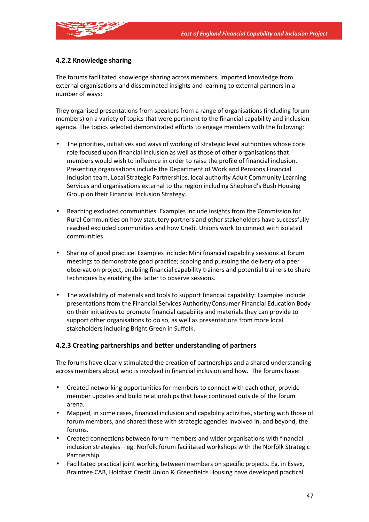

### **4.2.2 Knowledge sharing**

The forums facilitated knowledge sharing across members, imported knowledge from external organisations and disseminated insights and learning to external partners in a number of ways:

They organised presentations from speakers from a range of organisations (including forum members) on a variety of topics that were pertinent to the financial capability and inclusion agenda. The topics selected demonstrated efforts to engage members with the following:

- The priorities, initiatives and ways of working of strategic level authorities whose core role focused upon financial inclusion as well as those of other organisations that members would wish to influence in order to raise the profile of financial inclusion. Presenting organisations include the Department of Work and Pensions Financial Inclusion team, Local Strategic Partnerships, local authority Adult Community Learning Services and organisations external to the region including Shepherd's Bush Housing Group on their Financial Inclusion Strategy.
- Reaching excluded communities. Examples include insights from the Commission for Rural Communities on how statutory partners and other stakeholders have successfully reached excluded communities and how Credit Unions work to connect with isolated communities.
- Sharing of good practice. Examples include: Mini financial capability sessions at forum meetings to demonstrate good practice; scoping and pursuing the delivery of a peer observation project, enabling financial capability trainers and potential trainers to share techniques by enabling the latter to observe sessions.
- The availability of materials and tools to support financial capability: Examples include presentations from the Financial Services Authority/Consumer Financial Education Body on their initiatives to promote financial capability and materials they can provide to support other organisations to do so, as well as presentations from more local stakeholders including Bright Green in Suffolk.

#### **4.2.3 Creating partnerships and better understanding of partners**

The forums have clearly stimulated the creation of partnerships and a shared understanding across members about who is involved in financial inclusion and how. The forums have:

- Created networking opportunities for members to connect with each other, provide member updates and build relationships that have continued outside of the forum arena.
- Mapped, in some cases, financial inclusion and capability activities, starting with those of forum members, and shared these with strategic agencies involved in, and beyond, the forums.
- Created connections between forum members and wider organisations with financial inclusion strategies – eg. Norfolk forum facilitated workshops with the Norfolk Strategic Partnership.
- Facilitated practical joint working between members on specific projects. Eg. in Essex, Braintree CAB, Holdfast Credit Union & Greenfields Housing have developed practical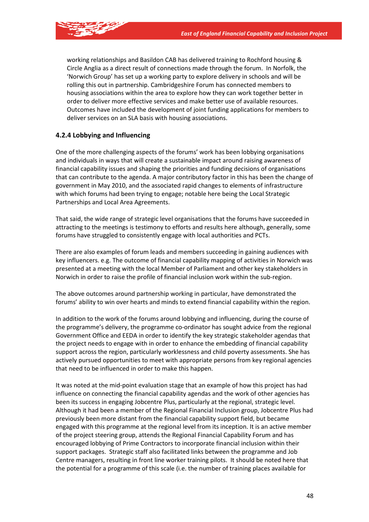

working relationships and Basildon CAB has delivered training to Rochford housing & Circle Anglia as a direct result of connections made through the forum. In Norfolk, the 'Norwich Group' has set up a working party to explore delivery in schools and will be rolling this out in partnership. Cambridgeshire Forum has connected members to housing associations within the area to explore how they can work together better in order to deliver more effective services and make better use of available resources. Outcomes have included the development of joint funding applications for members to deliver services on an SLA basis with housing associations.

#### **4.2.4 Lobbying and Influencing**

One of the more challenging aspects of the forums' work has been lobbying organisations and individuals in ways that will create a sustainable impact around raising awareness of financial capability issues and shaping the priorities and funding decisions of organisations that can contribute to the agenda. A major contributory factor in this has been the change of government in May 2010, and the associated rapid changes to elements of infrastructure with which forums had been trying to engage; notable here being the Local Strategic Partnerships and Local Area Agreements.

That said, the wide range of strategic level organisations that the forums have succeeded in attracting to the meetings is testimony to efforts and results here although, generally, some forums have struggled to consistently engage with local authorities and PCTs.

There are also examples of forum leads and members succeeding in gaining audiences with key influencers. e.g. The outcome of financial capability mapping of activities in Norwich was presented at a meeting with the local Member of Parliament and other key stakeholders in Norwich in order to raise the profile of financial inclusion work within the sub-region.

The above outcomes around partnership working in particular, have demonstrated the forums' ability to win over hearts and minds to extend financial capability within the region.

In addition to the work of the forums around lobbying and influencing, during the course of the programme's delivery, the programme co-ordinator has sought advice from the regional Government Office and EEDA in order to identify the key strategic stakeholder agendas that the project needs to engage with in order to enhance the embedding of financial capability support across the region, particularly worklessness and child poverty assessments. She has actively pursued opportunities to meet with appropriate persons from key regional agencies that need to be influenced in order to make this happen.

It was noted at the mid-point evaluation stage that an example of how this project has had influence on connecting the financial capability agendas and the work of other agencies has been its success in engaging Jobcentre Plus, particularly at the regional, strategic level. Although it had been a member of the Regional Financial Inclusion group, Jobcentre Plus had previously been more distant from the financial capability support field, but became engaged with this programme at the regional level from its inception. It is an active member of the project steering group, attends the Regional Financial Capability Forum and has encouraged lobbying of Prime Contractors to incorporate financial inclusion within their support packages. Strategic staff also facilitated links between the programme and Job Centre managers, resulting in front line worker training pilots. It should be noted here that the potential for a programme of this scale (i.e. the number of training places available for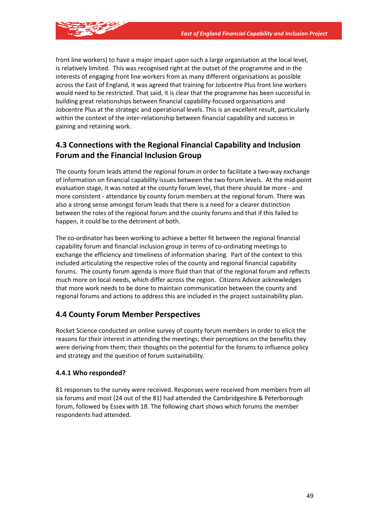

front line workers) to have a major impact upon such a large organisation at the local level, is relatively limited. This was recognised right at the outset of the programme and in the interests of engaging front line workers from as many different organisations as possible across the East of England, it was agreed that training for Jobcentre Plus front line workers would need to be restricted. That said, it is clear that the programme has been successful in building great relationships between financial capability-focused organisations and Jobcentre Plus at the strategic and operational levels. This is an excellent result, particularly within the context of the inter-relationship between financial capability and success in gaining and retaining work.

# **4.3 Connections with the Regional Financial Capability and Inclusion Forum and the Financial Inclusion Group**

The county forum leads attend the regional forum in order to facilitate a two-way exchange of information on financial capability issues between the two forum levels. At the mid-point evaluation stage, it was noted at the county forum level, that there should be more - and more consistent - attendance by county forum members at the regional forum. There was also a strong sense amongst forum leads that there is a need for a clearer distinction between the roles of the regional forum and the county forums and that if this failed to happen, it could be to the detriment of both.

The co-ordinator has been working to achieve a better fit between the regional financial capability forum and financial inclusion group in terms of co-ordinating meetings to exchange the efficiency and timeliness of information sharing. Part of the context to this included articulating the respective roles of the county and regional financial capability forums. The county forum agenda is more fluid than that of the regional forum and reflects much more on local needs, which differ across the region. Citizens Advice acknowledges that more work needs to be done to maintain communication between the county and regional forums and actions to address this are included in the project sustainability plan.

# **4.4 County Forum Member Perspectives**

Rocket Science conducted an online survey of county forum members in order to elicit the reasons for their interest in attending the meetings; their perceptions on the benefits they were deriving from them; their thoughts on the potential for the forums to influence policy and strategy and the question of forum sustainability.

### **4.4.1 Who responded?**

81 responses to the survey were received. Responses were received from members from all six forums and most (24 out of the 81) had attended the Cambridgeshire & Peterborough forum, followed by Essex with 18. The following chart shows which forums the member respondents had attended.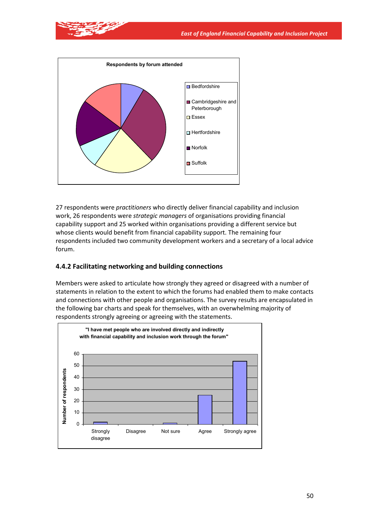

27 respondents were *practitioners* who directly deliver financial capability and inclusion work, 26 respondents were *strategic managers* of organisations providing financial capability support and 25 worked within organisations providing a different service but whose clients would benefit from financial capability support. The remaining four respondents included two community development workers and a secretary of a local advice forum.

### **4.4.2 Facilitating networking and building connections**

Members were asked to articulate how strongly they agreed or disagreed with a number of statements in relation to the extent to which the forums had enabled them to make contacts and connections with other people and organisations. The survey results are encapsulated in the following bar charts and speak for themselves, with an overwhelming majority of respondents strongly agreeing or agreeing with the statements.

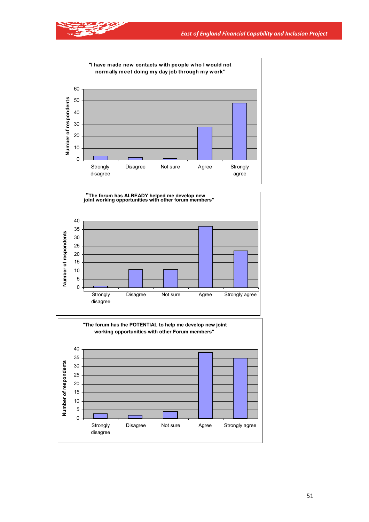

医学





51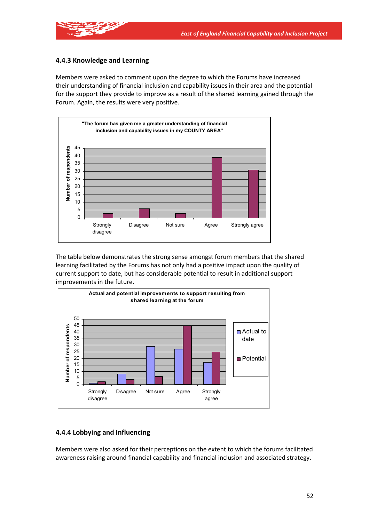

### **4.4.3 Knowledge and Learning**

Members were asked to comment upon the degree to which the Forums have increased their understanding of financial inclusion and capability issues in their area and the potential for the support they provide to improve as a result of the shared learning gained through the Forum. Again, the results were very positive.



The table below demonstrates the strong sense amongst forum members that the shared learning facilitated by the Forums has not only had a positive impact upon the quality of current support to date, but has considerable potential to result in additional support improvements in the future.



#### **4.4.4 Lobbying and Influencing**

Members were also asked for their perceptions on the extent to which the forums facilitated awareness raising around financial capability and financial inclusion and associated strategy.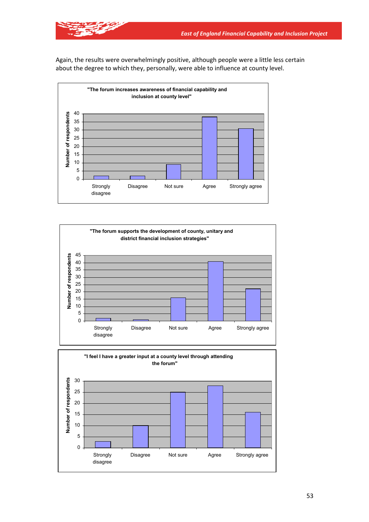





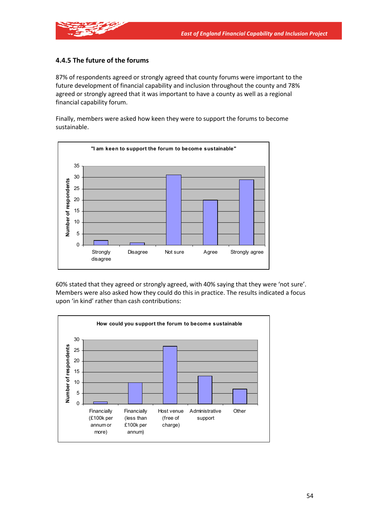

### **4.4.5 The future of the forums**

87% of respondents agreed or strongly agreed that county forums were important to the future development of financial capability and inclusion throughout the county and 78% agreed or strongly agreed that it was important to have a county as well as a regional financial capability forum.

Finally, members were asked how keen they were to support the forums to become sustainable.



60% stated that they agreed or strongly agreed, with 40% saying that they were 'not sure'. Members were also asked how they could do this in practice. The results indicated a focus upon 'in kind' rather than cash contributions:

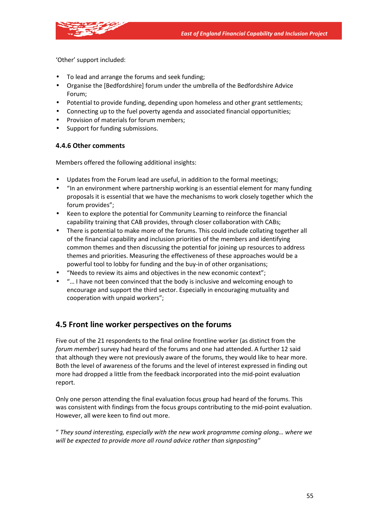

'Other' support included:

- To lead and arrange the forums and seek funding;
- Organise the [Bedfordshire] forum under the umbrella of the Bedfordshire Advice Forum;
- Potential to provide funding, depending upon homeless and other grant settlements;
- Connecting up to the fuel poverty agenda and associated financial opportunities;
- Provision of materials for forum members;
- Support for funding submissions.

### **4.4.6 Other comments**

Members offered the following additional insights:

- Updates from the Forum lead are useful, in addition to the formal meetings;
- "In an environment where partnership working is an essential element for many funding proposals it is essential that we have the mechanisms to work closely together which the forum provides";
- Keen to explore the potential for Community Learning to reinforce the financial capability training that CAB provides, through closer collaboration with CABs;
- There is potential to make more of the forums. This could include collating together all of the financial capability and inclusion priorities of the members and identifying common themes and then discussing the potential for joining up resources to address themes and priorities. Measuring the effectiveness of these approaches would be a powerful tool to lobby for funding and the buy-in of other organisations;
- "Needs to review its aims and objectives in the new economic context";
- "… I have not been convinced that the body is inclusive and welcoming enough to encourage and support the third sector. Especially in encouraging mutuality and cooperation with unpaid workers";

# **4.5 Front line worker perspectives on the forums**

Five out of the 21 respondents to the final online frontline worker (as distinct from the *forum member*) survey had heard of the forums and one had attended. A further 12 said that although they were not previously aware of the forums, they would like to hear more. Both the level of awareness of the forums and the level of interest expressed in finding out more had dropped a little from the feedback incorporated into the mid-point evaluation report.

Only one person attending the final evaluation focus group had heard of the forums. This was consistent with findings from the focus groups contributing to the mid-point evaluation. However, all were keen to find out more.

" *They sound interesting, especially with the new work programme coming along… where we will be expected to provide more all round advice rather than signposting"*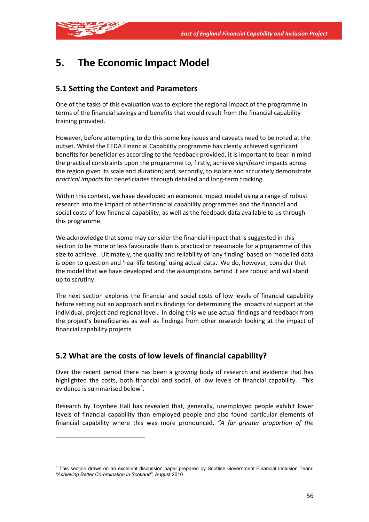

# **5. The Economic Impact Model**

# **5.1 Setting the Context and Parameters**

One of the tasks of this evaluation was to explore the regional impact of the programme in terms of the financial savings and benefits that would result from the financial capability training provided.

However, before attempting to do this some key issues and caveats need to be noted at the outset. Whilst the EEDA Financial Capability programme has clearly achieved significant benefits for beneficiaries according to the feedback provided, it is important to bear in mind the practical constraints upon the programme to, firstly, achieve *significant* impacts across the region given its scale and duration; and, secondly, to isolate and accurately demonstrate *practical impacts* for beneficiaries through detailed and long-term tracking.

Within this context, we have developed an economic impact model using a range of robust research into the impact of other financial capability programmes and the financial and social costs of low financial capability, as well as the feedback data available to us through this programme.

We acknowledge that some may consider the financial impact that is suggested in this section to be more or less favourable than is practical or reasonable for a programme of this size to achieve. Ultimately, the quality and reliability of 'any finding' based on modelled data is open to question and 'real life testing' using actual data. We do, however, consider that the model that we have developed and the assumptions behind it are robust and will stand up to scrutiny.

The next section explores the financial and social costs of low levels of financial capability before setting out an approach and its findings for determining the impacts of support at the individual, project and regional level. In doing this we use actual findings and feedback from the project's beneficiaries as well as findings from other research looking at the impact of financial capability projects.

# **5.2 What are the costs of low levels of financial capability?**

Over the recent period there has been a growing body of research and evidence that has highlighted the costs, both financial and social, of low levels of financial capability. This evidence is summarised below<sup>4</sup>.

Research by Toynbee Hall has revealed that, generally, unemployed people exhibit lower levels of financial capability than employed people and also found particular elements of financial capability where this was more pronounced. *"A far greater proportion of the* 

<sup>4</sup> This section draws on an excellent discussion paper prepared by Scottish Government Financial Inclusion Team: *"Achieving Better Co-ordination in Scotland"*, August 2010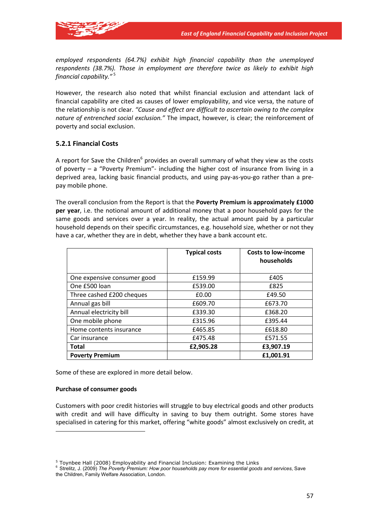

*employed respondents (64.7%) exhibit high financial capability than the unemployed respondents (38.7%). Those in employment are therefore twice as likely to exhibit high financial capability."* <sup>5</sup>

However, the research also noted that whilst financial exclusion and attendant lack of financial capability are cited as causes of lower employability, and vice versa, the nature of the relationship is not clear. *"Cause and effect are difficult to ascertain owing to the complex nature of entrenched social exclusion."* The impact, however, is clear; the reinforcement of poverty and social exclusion.

#### **5.2.1 Financial Costs**

A report for Save the Children $<sup>6</sup>$  provides an overall summary of what they view as the costs</sup> of poverty – a "Poverty Premium"- including the higher cost of insurance from living in a deprived area, lacking basic financial products, and using pay-as-you-go rather than a prepay mobile phone.

The overall conclusion from the Report is that the **Poverty Premium is approximately £1000 per year**, i.e. the notional amount of additional money that a poor household pays for the same goods and services over a year. In reality, the actual amount paid by a particular household depends on their specific circumstances, e.g. household size, whether or not they have a car, whether they are in debt, whether they have a bank account etc.

|                             | <b>Typical costs</b> | <b>Costs to low-income</b><br>households |
|-----------------------------|----------------------|------------------------------------------|
| One expensive consumer good | £159.99              | £405                                     |
| One £500 loan               | £539.00              | £825                                     |
| Three cashed £200 cheques   | £0.00                | £49.50                                   |
| Annual gas bill             | £609.70              | £673.70                                  |
| Annual electricity bill     | £339.30              | £368.20                                  |
| One mobile phone            | £315.96              | £395.44                                  |
| Home contents insurance     | £465.85              | £618.80                                  |
| Car insurance               | £475.48              | £571.55                                  |
| Total                       | £2,905.28            | £3,907.19                                |
| <b>Poverty Premium</b>      |                      | £1,001.91                                |

Some of these are explored in more detail below.

#### **Purchase of consumer goods**

Customers with poor credit histories will struggle to buy electrical goods and other products with credit and will have difficulty in saving to buy them outright. Some stores have specialised in catering for this market, offering "white goods" almost exclusively on credit, at

<sup>&</sup>lt;sup>5</sup> Toynbee Hall (2008) Employability and Financial Inclusion: Examining the Links<br><sup>6</sup> Strelitz, J. (2009) *The Poverty Premium: How poor households pay more for essential goods and services*, Save the Children, Family Welfare Association, London.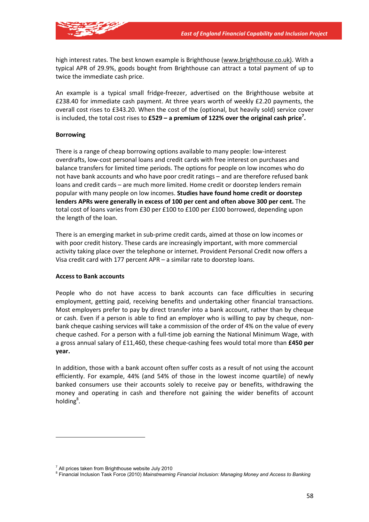

high interest rates. The best known example is Brighthouse (www.brighthouse.co.uk). With a typical APR of 29.9%, goods bought from Brighthouse can attract a total payment of up to twice the immediate cash price.

An example is a typical small fridge-freezer, advertised on the Brighthouse website at £238.40 for immediate cash payment. At three years worth of weekly £2.20 payments, the overall cost rises to £343.20. When the cost of the (optional, but heavily sold) service cover is included, the total cost rises to **£529 – a premium of 122% over the original cash price7 .**

#### **Borrowing**

There is a range of cheap borrowing options available to many people: low-interest overdrafts, low-cost personal loans and credit cards with free interest on purchases and balance transfers for limited time periods. The options for people on low incomes who do not have bank accounts and who have poor credit ratings – and are therefore refused bank loans and credit cards – are much more limited. Home credit or doorstep lenders remain popular with many people on low incomes. **Studies have found home credit or doorstep lenders APRs were generally in excess of 100 per cent and often above 300 per cent.** The total cost of loans varies from £30 per £100 to £100 per £100 borrowed, depending upon the length of the loan.

There is an emerging market in sub-prime credit cards, aimed at those on low incomes or with poor credit history. These cards are increasingly important, with more commercial activity taking place over the telephone or internet. Provident Personal Credit now offers a Visa credit card with 177 percent APR – a similar rate to doorstep loans.

#### **Access to Bank accounts**

People who do not have access to bank accounts can face difficulties in securing employment, getting paid, receiving benefits and undertaking other financial transactions. Most employers prefer to pay by direct transfer into a bank account, rather than by cheque or cash. Even if a person is able to find an employer who is willing to pay by cheque, nonbank cheque cashing services will take a commission of the order of 4% on the value of every cheque cashed. For a person with a full-time job earning the National Minimum Wage, with a gross annual salary of £11,460, these cheque-cashing fees would total more than **£450 per year.** 

In addition, those with a bank account often suffer costs as a result of not using the account efficiently. For example, 44% (and 54% of those in the lowest income quartile) of newly banked consumers use their accounts solely to receive pay or benefits, withdrawing the money and operating in cash and therefore not gaining the wider benefits of account holding<sup>8</sup>.

 $7$  All prices taken from Brighthouse website July 2010

<sup>8</sup> Financial Inclusion Task Force (2010) *Mainstreaming Financial Inclusion: Managing Money and Access to Banking*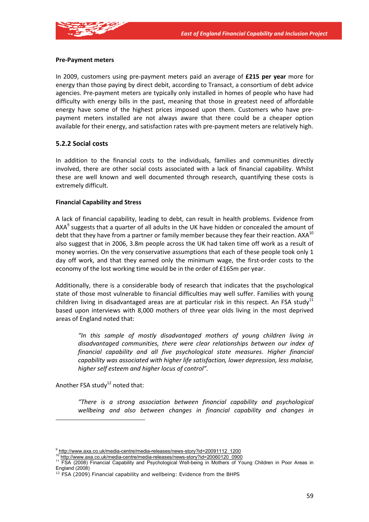

#### **Pre-Payment meters**

In 2009, customers using pre-payment meters paid an average of **£215 per year** more for energy than those paying by direct debit, according to Transact, a consortium of debt advice agencies. Pre-payment meters are typically only installed in homes of people who have had difficulty with energy bills in the past, meaning that those in greatest need of affordable energy have some of the highest prices imposed upon them. Customers who have prepayment meters installed are not always aware that there could be a cheaper option available for their energy, and satisfaction rates with pre-payment meters are relatively high.

#### **5.2.2 Social costs**

In addition to the financial costs to the individuals, families and communities directly involved, there are other social costs associated with a lack of financial capability. Whilst these are well known and well documented through research, quantifying these costs is extremely difficult.

#### **Financial Capability and Stress**

A lack of financial capability, leading to debt, can result in health problems. Evidence from  $AXA<sup>9</sup>$  suggests that a quarter of all adults in the UK have hidden or concealed the amount of debt that they have from a partner or family member because they fear their reaction.  $AXA^{10}$ also suggest that in 2006, 3.8m people across the UK had taken time off work as a result of money worries. On the very conservative assumptions that each of these people took only 1 day off work, and that they earned only the minimum wage, the first-order costs to the economy of the lost working time would be in the order of £165m per year.

Additionally, there is a considerable body of research that indicates that the psychological state of those most vulnerable to financial difficulties may well suffer. Families with young children living in disadvantaged areas are at particular risk in this respect. An FSA study $^{11}$ based upon interviews with 8,000 mothers of three year olds living in the most deprived areas of England noted that:

*"In this sample of mostly disadvantaged mothers of young children living in disadvantaged communities, there were clear relationships between our index of financial capability and all five psychological state measures. Higher financial capability was associated with higher life satisfaction, lower depression, less malaise, higher self esteem and higher locus of control".* 

Another FSA study $^{12}$  noted that:

*"There is a strong association between financial capability and psychological wellbeing and also between changes in financial capability and changes in* 

<sup>9</sup> http://www.axa.co.uk/media-centre/media-releases/news-story?id=20091112\_1200

<sup>&</sup>lt;sup>10</sup> http://www.axa.co.uk/media-centre/media-releases/news-story?id=20060120\_0900<br><sup>11</sup> FSA (2008) Financial Capability and Psychological Well-being in Mothers of Young Children in Poor Areas in England (2008)

 $12$  FSA (2009) Financial capability and wellbeing: Evidence from the BHPS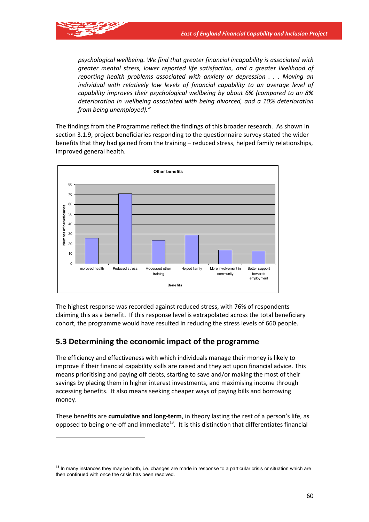

*psychological wellbeing. We find that greater financial incapability is associated with greater mental stress, lower reported life satisfaction, and a greater likelihood of reporting health problems associated with anxiety or depression . . . Moving an individual with relatively low levels of financial capability to an average level of capability improves their psychological wellbeing by about 6% (compared to an 8% deterioration in wellbeing associated with being divorced, and a 10% deterioration from being unemployed)."* 

The findings from the Programme reflect the findings of this broader research. As shown in section 3.1.9, project beneficiaries responding to the questionnaire survey stated the wider benefits that they had gained from the training – reduced stress, helped family relationships, improved general health.



The highest response was recorded against reduced stress, with 76% of respondents claiming this as a benefit. If this response level is extrapolated across the total beneficiary cohort, the programme would have resulted in reducing the stress levels of 660 people.

## **5.3 Determining the economic impact of the programme**

The efficiency and effectiveness with which individuals manage their money is likely to improve if their financial capability skills are raised and they act upon financial advice. This means prioritising and paying off debts, starting to save and/or making the most of their savings by placing them in higher interest investments, and maximising income through accessing benefits. It also means seeking cheaper ways of paying bills and borrowing money.

These benefits are **cumulative and long-term**, in theory lasting the rest of a person's life, as opposed to being one-off and immediate<sup>13</sup>. It is this distinction that differentiates financial

 $13$  In many instances they may be both, i.e. changes are made in response to a particular crisis or situation which are then continued with once the crisis has been resolved.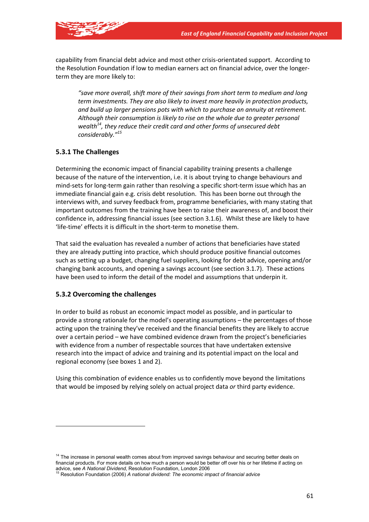

capability from financial debt advice and most other crisis-orientated support. According to the Resolution Foundation if low to median earners act on financial advice, over the longerterm they are more likely to:

*"save more overall, shift more of their savings from short term to medium and long term investments. They are also likely to invest more heavily in protection products, and build up larger pensions pots with which to purchase an annuity at retirement. Although their consumption is likely to rise on the whole due to greater personal wealth14, they reduce their credit card and other forms of unsecured debt considerably."15*

### **5.3.1 The Challenges**

Determining the economic impact of financial capability training presents a challenge because of the nature of the intervention, i.e. it is about trying to change behaviours and mind-sets for long-term gain rather than resolving a specific short-term issue which has an immediate financial gain e.g. crisis debt resolution. This has been borne out through the interviews with, and survey feedback from, programme beneficiaries, with many stating that important outcomes from the training have been to raise their awareness of, and boost their confidence in, addressing financial issues (see section 3.1.6). Whilst these are likely to have 'life-time' effects it is difficult in the short-term to monetise them.

That said the evaluation has revealed a number of actions that beneficiaries have stated they are already putting into practice, which should produce positive financial outcomes such as setting up a budget, changing fuel suppliers, looking for debt advice, opening and/or changing bank accounts, and opening a savings account (see section 3.1.7). These actions have been used to inform the detail of the model and assumptions that underpin it.

#### **5.3.2 Overcoming the challenges**

In order to build as robust an economic impact model as possible, and in particular to provide a strong rationale for the model's operating assumptions – the percentages of those acting upon the training they've received and the financial benefits they are likely to accrue over a certain period – we have combined evidence drawn from the project's beneficiaries with evidence from a number of respectable sources that have undertaken extensive research into the impact of advice and training and its potential impact on the local and regional economy (see boxes 1 and 2).

Using this combination of evidence enables us to confidently move beyond the limitations that would be imposed by relying solely on actual project data *or* third party evidence.

<sup>&</sup>lt;sup>14</sup> The increase in personal wealth comes about from improved savings behaviour and securing better deals on financial products. For more details on how much a person would be better off over his or her lifetime if acting on advice, see *A National Dividend*, Resolution Foundation, London 2006<br><sup>15</sup> Resolution Foundation (2006) *A national dividend: The economic impact of financial advice*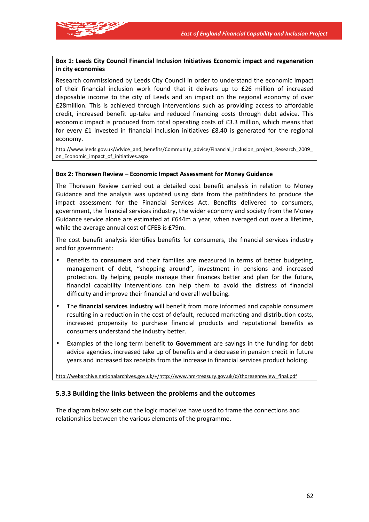

#### **Box 1: Leeds City Council Financial Inclusion Initiatives Economic impact and regeneration in city economies**

Research commissioned by Leeds City Council in order to understand the economic impact of their financial inclusion work found that it delivers up to £26 million of increased disposable income to the city of Leeds and an impact on the regional economy of over £28million. This is achieved through interventions such as providing access to affordable credit, increased benefit up-take and reduced financing costs through debt advice. This economic impact is produced from total operating costs of £3.3 million, which means that for every £1 invested in financial inclusion initiatives £8.40 is generated for the regional economy.

http://www.leeds.gov.uk/Advice\_and\_benefits/Community\_advice/Financial\_inclusion\_project\_Research\_2009\_ on Economic impact of initiatives.aspx

#### **Box 2: Thoresen Review – Economic Impact Assessment for Money Guidance**

The Thoresen Review carried out a detailed cost benefit analysis in relation to Money Guidance and the analysis was updated using data from the pathfinders to produce the impact assessment for the Financial Services Act. Benefits delivered to consumers, government, the financial services industry, the wider economy and society from the Money Guidance service alone are estimated at £644m a year, when averaged out over a lifetime, while the average annual cost of CFEB is £79m.

The cost benefit analysis identifies benefits for consumers, the financial services industry and for government:

- Benefits to **consumers** and their families are measured in terms of better budgeting, management of debt, "shopping around", investment in pensions and increased protection. By helping people manage their finances better and plan for the future, financial capability interventions can help them to avoid the distress of financial difficulty and improve their financial and overall wellbeing.
- The **financial services industry** will benefit from more informed and capable consumers resulting in a reduction in the cost of default, reduced marketing and distribution costs, increased propensity to purchase financial products and reputational benefits as consumers understand the industry better.
- Examples of the long term benefit to **Government** are savings in the funding for debt advice agencies, increased take up of benefits and a decrease in pension credit in future years and increased tax receipts from the increase in financial services product holding.

http://webarchive.nationalarchives.gov.uk/+/http://www.hm-treasury.gov.uk/d/thoresenreview\_final.pdf

#### **5.3.3 Building the links between the problems and the outcomes**

The diagram below sets out the logic model we have used to frame the connections and relationships between the various elements of the programme.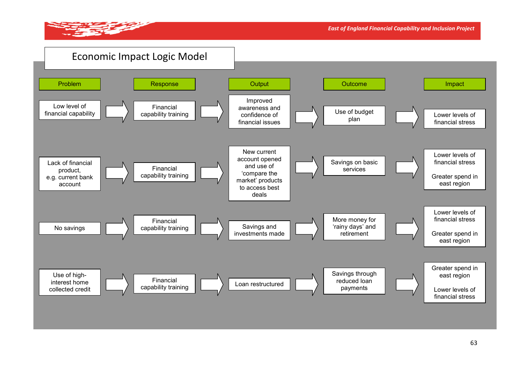

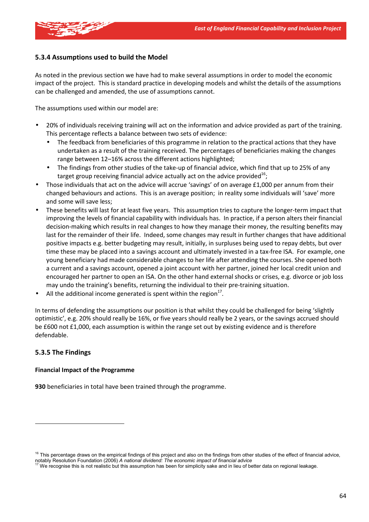

#### **5.3.4 Assumptions used to build the Model**

As noted in the previous section we have had to make several assumptions in order to model the economic impact of the project. This is standard practice in developing models and whilst the details of the assumptions can be challenged and amended, the use of assumptions cannot.

The assumptions used within our model are:

- 20% of individuals receiving training will act on the information and advice provided as part of the training. This percentage reflects a balance between two sets of evidence:
	- The feedback from beneficiaries of this programme in relation to the practical actions that they have undertaken as a result of the training received. The percentages of beneficiaries making the changes range between 12–16% across the different actions highlighted;
	- The findings from other studies of the take-up of financial advice, which find that up to 25% of any target group receiving financial advice actually act on the advice provided $^{16}$ ;
- Those individuals that act on the advice will accrue 'savings' of on average £1,000 per annum from their changed behaviours and actions. This is an average position; in reality some individuals will 'save' more and some will save less;
- These benefits will last for at least five years. This assumption tries to capture the longer-term impact that improving the levels of financial capability with individuals has. In practice, if a person alters their financial decision-making which results in real changes to how they manage their money, the resulting benefits may last for the remainder of their life. Indeed, some changes may result in further changes that have additional positive impacts e.g. better budgeting may result, initially, in surpluses being used to repay debts, but over time these may be placed into a savings account and ultimately invested in a tax-free ISA. For example, one young beneficiary had made considerable changes to her life after attending the courses. She opened both a current and a savings account, opened a joint account with her partner, joined her local credit union and encouraged her partner to open an ISA. On the other hand external shocks or crises, e.g. divorce or job loss may undo the training's benefits, returning the individual to their pre-training situation.
- All the additional income generated is spent within the region $^{17}$ .

In terms of defending the assumptions our position is that whilst they could be challenged for being 'slightly optimistic', e.g. 20% should really be 16%, or five years should really be 2 years, or the savings accrued should be £600 not £1,000, each assumption is within the range set out by existing evidence and is therefore defendable.

#### **5.3.5 The Findings**

#### **Financial Impact of the Programme**

**930** beneficiaries in total have been trained through the programme.

<sup>&</sup>lt;sup>16</sup> This percentage draws on the empirical findings of this project and also on the findings from other studies of the effect of financial advice, notably Resolution Foundation (2006) A national dividend: The economic impact of financial advice<br><sup>17</sup> We recognise this is not realistic but this assumption has been for simplicity sake and in lieu of better data on regio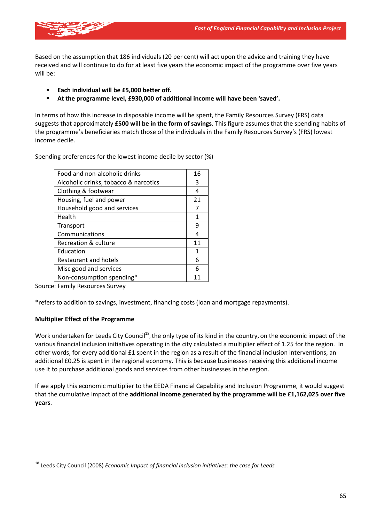

Based on the assumption that 186 individuals (20 per cent) will act upon the advice and training they have received and will continue to do for at least five years the economic impact of the programme over five years will be:

- **Each individual will be £5,000 better off.**
- **At the programme level, £930,000 of additional income will have been 'saved'.**

In terms of how this increase in disposable income will be spent, the Family Resources Survey (FRS) data suggests that approximately **£500 will be in the form of savings**. This figure assumes that the spending habits of the programme's beneficiaries match those of the individuals in the Family Resources Survey's (FRS) lowest income decile.

Spending preferences for the lowest income decile by sector (%)

| Food and non-alcoholic drinks         |    |  |
|---------------------------------------|----|--|
| Alcoholic drinks, tobacco & narcotics | 3  |  |
| Clothing & footwear                   | 4  |  |
| Housing, fuel and power               | 21 |  |
| Household good and services           |    |  |
| Health                                | 1  |  |
| Transport                             | q  |  |
| Communications                        | 4  |  |
| Recreation & culture                  | 11 |  |
| Education                             | 1  |  |
| <b>Restaurant and hotels</b>          | 6  |  |
| Misc good and services                | 6  |  |
| Non-consumption spending*             | 11 |  |

Source: Family Resources Survey

\*refers to addition to savings, investment, financing costs (loan and mortgage repayments).

#### **Multiplier Effect of the Programme**

Work undertaken for Leeds City Council<sup>18</sup>, the only type of its kind in the country, on the economic impact of the various financial inclusion initiatives operating in the city calculated a multiplier effect of 1.25 for the region. In other words, for every additional £1 spent in the region as a result of the financial inclusion interventions, an additional £0.25 is spent in the regional economy. This is because businesses receiving this additional income use it to purchase additional goods and services from other businesses in the region.

If we apply this economic multiplier to the EEDA Financial Capability and Inclusion Programme, it would suggest that the cumulative impact of the **additional income generated by the programme will be £1,162,025 over five years**.

<sup>18</sup> Leeds City Council (2008) *Economic Impact of financial inclusion initiatives: the case for Leeds*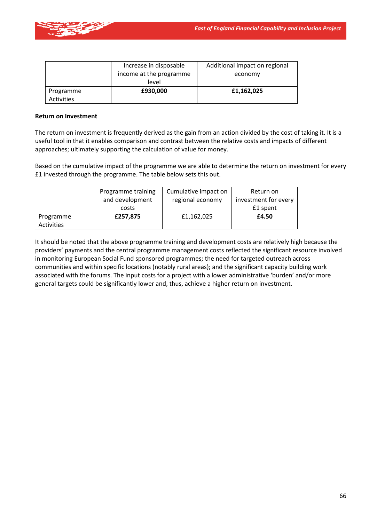

|            | Increase in disposable  | Additional impact on regional |
|------------|-------------------------|-------------------------------|
|            | income at the programme | economy                       |
|            | level                   |                               |
| Programme  | £930,000                | £1,162,025                    |
| Activities |                         |                               |

#### **Return on Investment**

The return on investment is frequently derived as the gain from an action divided by the cost of taking it. It is a useful tool in that it enables comparison and contrast between the relative costs and impacts of different approaches; ultimately supporting the calculation of value for money.

Based on the cumulative impact of the programme we are able to determine the return on investment for every £1 invested through the programme. The table below sets this out.

|            | Programme training | Cumulative impact on | Return on            |
|------------|--------------------|----------------------|----------------------|
|            | and development    | regional economy     | investment for every |
|            | costs              |                      | £1 spent             |
| Programme  | £257,875           | £1,162,025           | £4.50                |
| Activities |                    |                      |                      |

It should be noted that the above programme training and development costs are relatively high because the providers' payments and the central programme management costs reflected the significant resource involved in monitoring European Social Fund sponsored programmes; the need for targeted outreach across communities and within specific locations (notably rural areas); and the significant capacity building work associated with the forums. The input costs for a project with a lower administrative 'burden' and/or more general targets could be significantly lower and, thus, achieve a higher return on investment.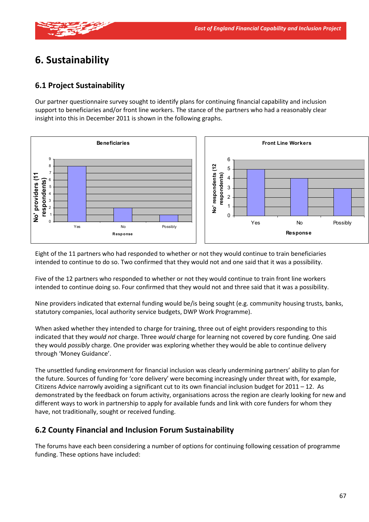

# **6. Sustainability**

## **6.1 Project Sustainability**

Our partner questionnaire survey sought to identify plans for continuing financial capability and inclusion support to beneficiaries and/or front line workers. The stance of the partners who had a reasonably clear insight into this in December 2011 is shown in the following graphs.



Eight of the 11 partners who had responded to whether or not they would continue to train beneficiaries intended to continue to do so. Two confirmed that they would not and one said that it was a possibility.

Five of the 12 partners who responded to whether or not they would continue to train front line workers intended to continue doing so. Four confirmed that they would not and three said that it was a possibility.

Nine providers indicated that external funding would be/is being sought (e.g. community housing trusts, banks, statutory companies, local authority service budgets, DWP Work Programme).

When asked whether they intended to charge for training, three out of eight providers responding to this indicated that they *would not* charge. Three *would* charge for learning not covered by core funding. One said they would *possibly* charge. One provider was exploring whether they would be able to continue delivery through 'Money Guidance'.

The unsettled funding environment for financial inclusion was clearly undermining partners' ability to plan for the future. Sources of funding for 'core delivery' were becoming increasingly under threat with, for example, Citizens Advice narrowly avoiding a significant cut to its own financial inclusion budget for  $2011 - 12$ . As demonstrated by the feedback on forum activity, organisations across the region are clearly looking for new and different ways to work in partnership to apply for available funds and link with core funders for whom they have, not traditionally, sought or received funding.

## **6.2 County Financial and Inclusion Forum Sustainability**

The forums have each been considering a number of options for continuing following cessation of programme funding. These options have included: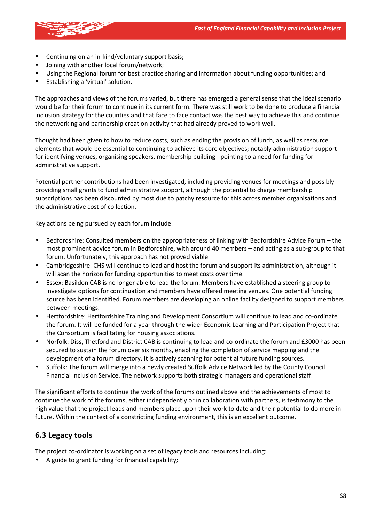

- Continuing on an in-kind/voluntary support basis;
- **Joining with another local forum/network;**
- Using the Regional forum for best practice sharing and information about funding opportunities; and
- Establishing a 'virtual' solution.

The approaches and views of the forums varied, but there has emerged a general sense that the ideal scenario would be for their forum to continue in its current form. There was still work to be done to produce a financial inclusion strategy for the counties and that face to face contact was the best way to achieve this and continue the networking and partnership creation activity that had already proved to work well.

Thought had been given to how to reduce costs, such as ending the provision of lunch, as well as resource elements that would be essential to continuing to achieve its core objectives; notably administration support for identifying venues, organising speakers, membership building - pointing to a need for funding for administrative support.

Potential partner contributions had been investigated, including providing venues for meetings and possibly providing small grants to fund administrative support, although the potential to charge membership subscriptions has been discounted by most due to patchy resource for this across member organisations and the administrative cost of collection.

Key actions being pursued by each forum include:

- Bedfordshire: Consulted members on the appropriateness of linking with Bedfordshire Advice Forum the most prominent advice forum in Bedfordshire, with around 40 members – and acting as a sub-group to that forum. Unfortunately, this approach has not proved viable.
- Cambridgeshire: CHS will continue to lead and host the forum and support its administration, although it will scan the horizon for funding opportunities to meet costs over time.
- Essex: Basildon CAB is no longer able to lead the forum. Members have established a steering group to investigate options for continuation and members have offered meeting venues. One potential funding source has been identified. Forum members are developing an online facility designed to support members between meetings.
- Hertfordshire: Hertfordshire Training and Development Consortium will continue to lead and co-ordinate the forum. It will be funded for a year through the wider Economic Learning and Participation Project that the Consortium is facilitating for housing associations.
- Norfolk: Diss, Thetford and District CAB is continuing to lead and co-ordinate the forum and £3000 has been secured to sustain the forum over six months, enabling the completion of service mapping and the development of a forum directory. It is actively scanning for potential future funding sources.
- Suffolk: The forum will merge into a newly created Suffolk Advice Network led by the County Council Financial Inclusion Service. The network supports both strategic managers and operational staff.

The significant efforts to continue the work of the forums outlined above and the achievements of most to continue the work of the forums, either independently or in collaboration with partners, is testimony to the high value that the project leads and members place upon their work to date and their potential to do more in future. Within the context of a constricting funding environment, this is an excellent outcome.

### **6.3 Legacy tools**

The project co-ordinator is working on a set of legacy tools and resources including:

• A guide to grant funding for financial capability;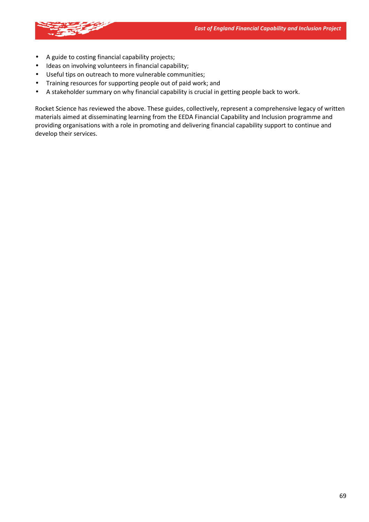

- A guide to costing financial capability projects;
- Ideas on involving volunteers in financial capability;
- Useful tips on outreach to more vulnerable communities;
- Training resources for supporting people out of paid work; and
- A stakeholder summary on why financial capability is crucial in getting people back to work.

Rocket Science has reviewed the above. These guides, collectively, represent a comprehensive legacy of written materials aimed at disseminating learning from the EEDA Financial Capability and Inclusion programme and providing organisations with a role in promoting and delivering financial capability support to continue and develop their services.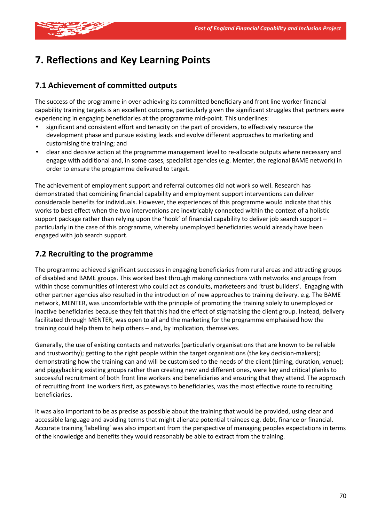

# **7. Reflections and Key Learning Points**

### **7.1 Achievement of committed outputs**

The success of the programme in over-achieving its committed beneficiary and front line worker financial capability training targets is an excellent outcome, particularly given the significant struggles that partners were experiencing in engaging beneficiaries at the programme mid-point. This underlines:

- significant and consistent effort and tenacity on the part of providers, to effectively resource the development phase and pursue existing leads and evolve different approaches to marketing and customising the training; and
- clear and decisive action at the programme management level to re-allocate outputs where necessary and engage with additional and, in some cases, specialist agencies (e.g. Menter, the regional BAME network) in order to ensure the programme delivered to target.

The achievement of employment support and referral outcomes did not work so well. Research has demonstrated that combining financial capability and employment support interventions can deliver considerable benefits for individuals. However, the experiences of this programme would indicate that this works to best effect when the two interventions are inextricably connected within the context of a holistic support package rather than relying upon the 'hook' of financial capability to deliver job search support – particularly in the case of this programme, whereby unemployed beneficiaries would already have been engaged with job search support.

### **7.2 Recruiting to the programme**

The programme achieved significant successes in engaging beneficiaries from rural areas and attracting groups of disabled and BAME groups. This worked best through making connections with networks and groups from within those communities of interest who could act as conduits, marketeers and 'trust builders'. Engaging with other partner agencies also resulted in the introduction of new approaches to training delivery. e.g. The BAME network, MENTER, was uncomfortable with the principle of promoting the training solely to unemployed or inactive beneficiaries because they felt that this had the effect of stigmatising the client group. Instead, delivery facilitated through MENTER, was open to all and the marketing for the programme emphasised how the training could help them to help others – and, by implication, themselves.

Generally, the use of existing contacts and networks (particularly organisations that are known to be reliable and trustworthy); getting to the right people within the target organisations (the key decision-makers); demonstrating how the training can and will be customised to the needs of the client (timing, duration, venue); and piggybacking existing groups rather than creating new and different ones, were key and critical planks to successful recruitment of both front line workers and beneficiaries and ensuring that they attend. The approach of recruiting front line workers first, as gateways to beneficiaries, was the most effective route to recruiting beneficiaries.

It was also important to be as precise as possible about the training that would be provided, using clear and accessible language and avoiding terms that might alienate potential trainees e.g. debt, finance or financial. Accurate training 'labelling' was also important from the perspective of managing peoples expectations in terms of the knowledge and benefits they would reasonably be able to extract from the training.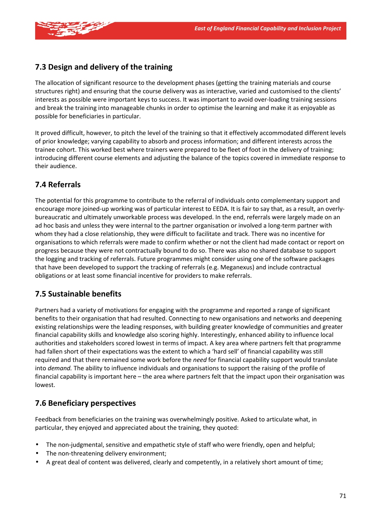

# **7.3 Design and delivery of the training**

The allocation of significant resource to the development phases (getting the training materials and course structures right) and ensuring that the course delivery was as interactive, varied and customised to the clients' interests as possible were important keys to success. It was important to avoid over-loading training sessions and break the training into manageable chunks in order to optimise the learning and make it as enjoyable as possible for beneficiaries in particular.

It proved difficult, however, to pitch the level of the training so that it effectively accommodated different levels of prior knowledge; varying capability to absorb and process information; and different interests across the trainee cohort. This worked best where trainers were prepared to be fleet of foot in the delivery of training; introducing different course elements and adjusting the balance of the topics covered in immediate response to their audience.

# **7.4 Referrals**

The potential for this programme to contribute to the referral of individuals onto complementary support and encourage more joined-up working was of particular interest to EEDA. It is fair to say that, as a result, an overlybureaucratic and ultimately unworkable process was developed. In the end, referrals were largely made on an ad hoc basis and unless they were internal to the partner organisation or involved a long-term partner with whom they had a close relationship, they were difficult to facilitate and track. There was no incentive for organisations to which referrals were made to confirm whether or not the client had made contact or report on progress because they were not contractually bound to do so. There was also no shared database to support the logging and tracking of referrals. Future programmes might consider using one of the software packages that have been developed to support the tracking of referrals (e.g. Meganexus) and include contractual obligations or at least some financial incentive for providers to make referrals.

## **7.5 Sustainable benefits**

Partners had a variety of motivations for engaging with the programme and reported a range of significant benefits to their organisation that had resulted. Connecting to new organisations and networks and deepening existing relationships were the leading responses, with building greater knowledge of communities and greater financial capability skills and knowledge also scoring highly. Interestingly, enhanced ability to influence local authorities and stakeholders scored lowest in terms of impact. A key area where partners felt that programme had fallen short of their expectations was the extent to which a 'hard sell' of financial capability was still required and that there remained some work before the *need* for financial capability support would translate into *demand.* The ability to influence individuals and organisations to support the raising of the profile of financial capability is important here – the area where partners felt that the impact upon their organisation was lowest.

## **7.6 Beneficiary perspectives**

Feedback from beneficiaries on the training was overwhelmingly positive. Asked to articulate what, in particular, they enjoyed and appreciated about the training, they quoted:

- The non-judgmental, sensitive and empathetic style of staff who were friendly, open and helpful;
- The non-threatening delivery environment;
- A great deal of content was delivered, clearly and competently, in a relatively short amount of time;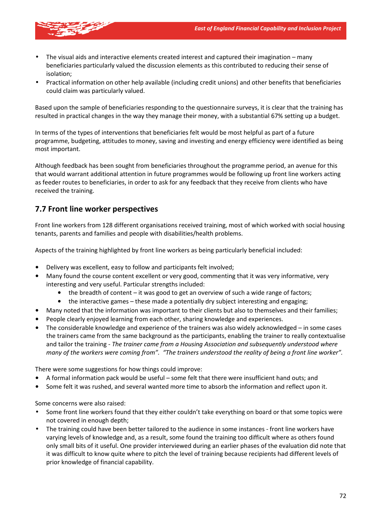

- The visual aids and interactive elements created interest and captured their imagination many beneficiaries particularly valued the discussion elements as this contributed to reducing their sense of isolation;
- Practical information on other help available (including credit unions) and other benefits that beneficiaries could claim was particularly valued.

Based upon the sample of beneficiaries responding to the questionnaire surveys, it is clear that the training has resulted in practical changes in the way they manage their money, with a substantial 67% setting up a budget.

In terms of the types of interventions that beneficiaries felt would be most helpful as part of a future programme, budgeting, attitudes to money, saving and investing and energy efficiency were identified as being most important.

Although feedback has been sought from beneficiaries throughout the programme period, an avenue for this that would warrant additional attention in future programmes would be following up front line workers acting as feeder routes to beneficiaries, in order to ask for any feedback that they receive from clients who have received the training.

## **7.7 Front line worker perspectives**

Front line workers from 128 different organisations received training, most of which worked with social housing tenants, parents and families and people with disabilities/health problems.

Aspects of the training highlighted by front line workers as being particularly beneficial included:

- Delivery was excellent, easy to follow and participants felt involved;
- Many found the course content excellent or very good, commenting that it was very informative, very interesting and very useful. Particular strengths included:
	- the breadth of content it was good to get an overview of such a wide range of factors;
	- the interactive games these made a potentially dry subject interesting and engaging;
- Many noted that the information was important to their clients but also to themselves and their families;
- People clearly enjoyed learning from each other, sharing knowledge and experiences.
- The considerable knowledge and experience of the trainers was also widely acknowledged in some cases the trainers came from the same background as the participants, enabling the trainer to really contextualise and tailor the training - *The trainer came from a Housing Association and subsequently understood where many of the workers were coming from". "The trainers understood the reality of being a front line worker".*

There were some suggestions for how things could improve:

- A formal information pack would be useful some felt that there were insufficient hand outs; and
- Some felt it was rushed, and several wanted more time to absorb the information and reflect upon it.

Some concerns were also raised:

- Some front line workers found that they either couldn't take everything on board or that some topics were not covered in enough depth;
- The training could have been better tailored to the audience in some instances front line workers have varying levels of knowledge and, as a result, some found the training too difficult where as others found only small bits of it useful. One provider interviewed during an earlier phases of the evaluation did note that it was difficult to know quite where to pitch the level of training because recipients had different levels of prior knowledge of financial capability.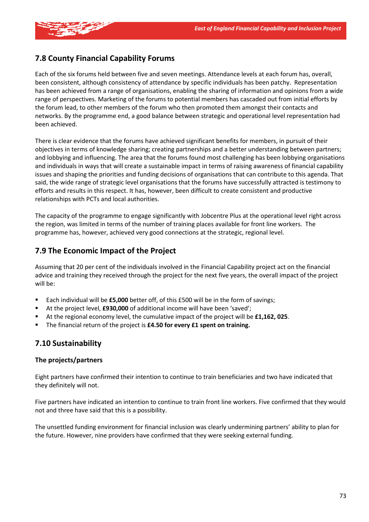

## **7.8 County Financial Capability Forums**

Each of the six forums held between five and seven meetings. Attendance levels at each forum has, overall, been consistent, although consistency of attendance by specific individuals has been patchy. Representation has been achieved from a range of organisations, enabling the sharing of information and opinions from a wide range of perspectives. Marketing of the forums to potential members has cascaded out from initial efforts by the forum lead, to other members of the forum who then promoted them amongst their contacts and networks. By the programme end, a good balance between strategic and operational level representation had been achieved.

There is clear evidence that the forums have achieved significant benefits for members, in pursuit of their objectives in terms of knowledge sharing; creating partnerships and a better understanding between partners; and lobbying and influencing. The area that the forums found most challenging has been lobbying organisations and individuals in ways that will create a sustainable impact in terms of raising awareness of financial capability issues and shaping the priorities and funding decisions of organisations that can contribute to this agenda. That said, the wide range of strategic level organisations that the forums have successfully attracted is testimony to efforts and results in this respect. It has, however, been difficult to create consistent and productive relationships with PCTs and local authorities.

The capacity of the programme to engage significantly with Jobcentre Plus at the operational level right across the region, was limited in terms of the number of training places available for front line workers. The programme has, however, achieved very good connections at the strategic, regional level.

## **7.9 The Economic Impact of the Project**

Assuming that 20 per cent of the individuals involved in the Financial Capability project act on the financial advice and training they received through the project for the next five years, the overall impact of the project will be:

- Each individual will be **£5,000** better off, of this £500 will be in the form of savings;
- At the project level, **£930,000** of additional income will have been 'saved';
- At the regional economy level, the cumulative impact of the project will be **£1,162, 025**.
- The financial return of the project is **£4.50 for every £1 spent on training.**

## **7.10 Sustainability**

#### **The projects/partners**

Eight partners have confirmed their intention to continue to train beneficiaries and two have indicated that they definitely will not.

Five partners have indicated an intention to continue to train front line workers. Five confirmed that they would not and three have said that this is a possibility.

The unsettled funding environment for financial inclusion was clearly undermining partners' ability to plan for the future. However, nine providers have confirmed that they were seeking external funding.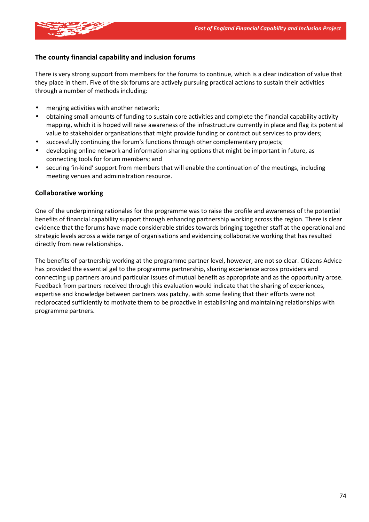

#### **The county financial capability and inclusion forums**

There is very strong support from members for the forums to continue, which is a clear indication of value that they place in them. Five of the six forums are actively pursuing practical actions to sustain their activities through a number of methods including:

- merging activities with another network;
- obtaining small amounts of funding to sustain core activities and complete the financial capability activity mapping, which it is hoped will raise awareness of the infrastructure currently in place and flag its potential value to stakeholder organisations that might provide funding or contract out services to providers;
- successfully continuing the forum's functions through other complementary projects;
- developing online network and information sharing options that might be important in future, as connecting tools for forum members; and
- securing 'in-kind' support from members that will enable the continuation of the meetings, including meeting venues and administration resource.

#### **Collaborative working**

One of the underpinning rationales for the programme was to raise the profile and awareness of the potential benefits of financial capability support through enhancing partnership working across the region. There is clear evidence that the forums have made considerable strides towards bringing together staff at the operational and strategic levels across a wide range of organisations and evidencing collaborative working that has resulted directly from new relationships.

The benefits of partnership working at the programme partner level, however, are not so clear. Citizens Advice has provided the essential gel to the programme partnership, sharing experience across providers and connecting up partners around particular issues of mutual benefit as appropriate and as the opportunity arose. Feedback from partners received through this evaluation would indicate that the sharing of experiences, expertise and knowledge between partners was patchy, with some feeling that their efforts were not reciprocated sufficiently to motivate them to be proactive in establishing and maintaining relationships with programme partners.